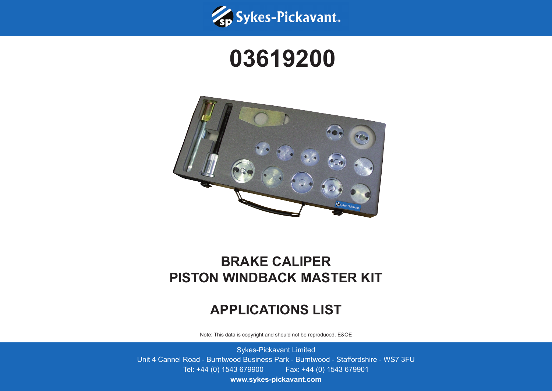

## **03619200**



## **BRAKE CALIPER PISTON WINDBACK MASTER KIT**

## **APPLICATIONS LIST**

Note: This data is copyright and should not be reproduced. E&OE

Sykes-Pickavant Limited Unit 4 Cannel Road - Burntwood Business Park - Burntwood - Staffordshire - WS7 3FU Tel: +44 (0) 1543 679900 Fax: +44 (0) 1543 679901

**www.sykes-pickavant.com**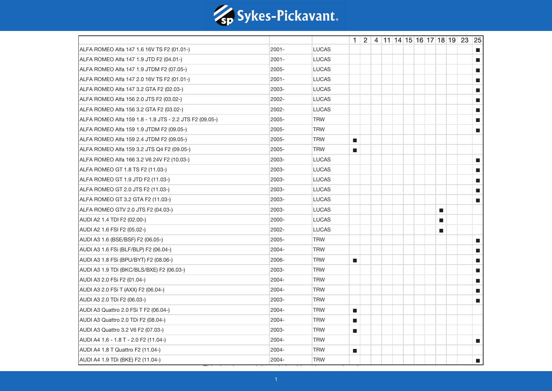

|                                                         |          |              |                             |  |  |  |   | $1 \mid 2 \mid 4 \mid 11 \mid 14 \mid 15 \mid 16 \mid 17 \mid 18 \mid 19 \mid 23 \mid 25$ |                             |
|---------------------------------------------------------|----------|--------------|-----------------------------|--|--|--|---|-------------------------------------------------------------------------------------------|-----------------------------|
| ALFA ROMEO Alfa 147 1.6 16V TS F2 (01.01-)              | $2001 -$ | <b>LUCAS</b> |                             |  |  |  |   |                                                                                           | П                           |
| ALFA ROMEO Alfa 147 1.9 JTD F2 (04.01-)                 | $2001 -$ | <b>LUCAS</b> |                             |  |  |  |   |                                                                                           | П                           |
| ALFA ROMEO Alfa 147 1.9 JTDM F2 (07.05-)                | 2005-    | <b>LUCAS</b> |                             |  |  |  |   |                                                                                           | <b>The State</b>            |
| ALFA ROMEO Alfa 147 2.0 16V TS F2 (01.01-)              | 2001-    | <b>LUCAS</b> |                             |  |  |  |   |                                                                                           | $\blacksquare$              |
| ALFA ROMEO Alfa 147 3.2 GTA F2 (02.03-)                 | 2003-    | <b>LUCAS</b> |                             |  |  |  |   |                                                                                           | $\blacksquare$              |
| ALFA ROMEO Alfa 156 2.0 JTS F2 (03.02-)                 | 2002-    | <b>LUCAS</b> |                             |  |  |  |   |                                                                                           | n.                          |
| ALFA ROMEO Alfa 156 3.2 GTA F2 (03.02-)                 | 2002-    | <b>LUCAS</b> |                             |  |  |  |   |                                                                                           | П                           |
| ALFA ROMEO Alfa 159 1.8 - 1.9 JTS - 2.2 JTS F2 (09.05-) | 2005-    | <b>TRW</b>   |                             |  |  |  |   |                                                                                           | $\blacksquare$              |
| ALFA ROMEO Alfa 159 1.9 JTDM F2 (09.05-)                | 2005-    | <b>TRW</b>   |                             |  |  |  |   |                                                                                           | П                           |
| ALFA ROMEO Alfa 159 2.4 JTDM F2 (09.05-)                | 2005-    | <b>TRW</b>   | $\mathcal{L}_{\mathcal{A}}$ |  |  |  |   |                                                                                           |                             |
| ALFA ROMEO Alfa 159 3.2 JTS Q4 F2 (09.05-)              | 2005-    | <b>TRW</b>   | $\mathcal{L}_{\mathcal{A}}$ |  |  |  |   |                                                                                           |                             |
| ALFA ROMEO Alfa 166 3.2 V6 24V F2 (10.03-)              | 2003-    | <b>LUCAS</b> |                             |  |  |  |   |                                                                                           | $\mathcal{L}_{\mathcal{A}}$ |
| ALFA ROMEO GT 1.8 TS F2 (11.03-)                        | 2003-    | <b>LUCAS</b> |                             |  |  |  |   |                                                                                           | $\blacksquare$              |
| ALFA ROMEO GT 1.9 JTD F2 (11.03-)                       | 2003-    | <b>LUCAS</b> |                             |  |  |  |   |                                                                                           | П                           |
| ALFA ROMEO GT 2.0 JTS F2 (11.03-)                       | 2003-    | <b>LUCAS</b> |                             |  |  |  |   |                                                                                           | П                           |
| ALFA ROMEO GT 3.2 GTA F2 (11.03-)                       | 2003-    | LUCAS        |                             |  |  |  |   |                                                                                           | <b>The State</b>            |
| ALFA ROMEO GTV 2.0 JTS F2 (04.03-)                      | 2003-    | <b>LUCAS</b> |                             |  |  |  | П |                                                                                           |                             |
| AUDI A2 1.4 TDI F2 (02.00-)                             | 2000-    | <b>LUCAS</b> |                             |  |  |  | ш |                                                                                           |                             |
| AUDI A2 1.6 FSI F2 (05.02-)                             | 2002-    | <b>LUCAS</b> |                             |  |  |  | П |                                                                                           |                             |
| AUDI A3 1.6 (BSE/BSF) F2 (06.05-)                       | 2005-    | <b>TRW</b>   |                             |  |  |  |   |                                                                                           | $\mathcal{L}_{\mathcal{A}}$ |
| AUDI A3 1.6 FSi (BLF/BLP) F2 (06.04-)                   | 2004-    | <b>TRW</b>   |                             |  |  |  |   |                                                                                           | $\mathcal{L}_{\mathcal{A}}$ |
| AUDI A3 1.8 FSi (BPU/BYT) F2 (08.06-)                   | 2006-    | <b>TRW</b>   | $\blacksquare$              |  |  |  |   |                                                                                           | $\mathcal{L}_{\mathcal{A}}$ |
| AUDI A3 1.9 TDi (BKC/BLS/BXE) F2 (06.03-)               | 2003-    | <b>TRW</b>   |                             |  |  |  |   |                                                                                           | $\mathcal{L}_{\mathcal{A}}$ |
| AUDI A3 2.0 FSi F2 (01.04-)                             | 2004-    | <b>TRW</b>   |                             |  |  |  |   |                                                                                           | $\mathcal{L}_{\mathcal{A}}$ |
| AUDI A3 2.0 FSi T (AXX) F2 (06.04-)                     | 2004-    | <b>TRW</b>   |                             |  |  |  |   |                                                                                           | $\blacksquare$              |
| AUDI A3 2.0 TDi F2 (06.03-)                             | 2003-    | <b>TRW</b>   |                             |  |  |  |   |                                                                                           | $\blacksquare$              |
| AUDI A3 Quattro 2.0 FSi T F2 (06.04-)                   | 2004-    | <b>TRW</b>   | $\mathcal{L}_{\mathcal{A}}$ |  |  |  |   |                                                                                           |                             |
| AUDI A3 Quattro 2.0 TDi F2 (08.04-)                     | 2004-    | <b>TRW</b>   | $\mathcal{L}_{\mathcal{A}}$ |  |  |  |   |                                                                                           |                             |
| AUDI A3 Quattro 3.2 V6 F2 (07.03-)                      | 2003-    | <b>TRW</b>   | $\mathcal{L}_{\mathcal{A}}$ |  |  |  |   |                                                                                           |                             |
| AUDI A4 1.6 - 1.8 T - 2.0 F2 (11.04-)                   | 2004-    | <b>TRW</b>   |                             |  |  |  |   |                                                                                           | $\blacksquare$              |
| AUDI A4 1.8 T Quattro F2 (11.04-)                       | 2004-    | <b>TRW</b>   | $\mathcal{L}_{\mathcal{A}}$ |  |  |  |   |                                                                                           |                             |
| AUDI A4 1.9 TDi (BKE) F2 (11.04-)                       | 2004-    | <b>TRW</b>   |                             |  |  |  |   |                                                                                           | $\blacksquare$              |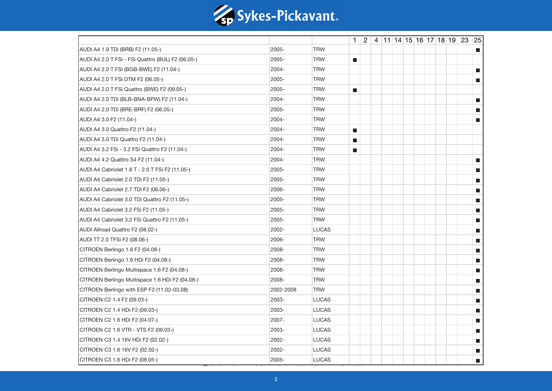

|                                                   |           |              |                             |  |  |  | $1 \mid 2 \mid 4 \mid 11 \mid 14 \mid 15 \mid 16 \mid 17 \mid 18 \mid 19 \mid 23 \mid 25$ |  |                             |
|---------------------------------------------------|-----------|--------------|-----------------------------|--|--|--|-------------------------------------------------------------------------------------------|--|-----------------------------|
| AUDI A4 1.9 TDi (BRB) F2 (11.05-)                 | 2005-     | <b>TRW</b>   |                             |  |  |  |                                                                                           |  | m.                          |
| AUDI A4 2.0 T FSi - FSi Quattro (BUL) F2 (06.05-) | 2005-     | <b>TRW</b>   | $\mathcal{L}_{\mathcal{A}}$ |  |  |  |                                                                                           |  |                             |
| AUDI A4 2.0 T FSi (BGB-BWE) F2 (11.04-)           | 2004-     | <b>TRW</b>   |                             |  |  |  |                                                                                           |  | $\mathcal{L}_{\mathcal{A}}$ |
| AUDI A4 2.0 T FSi DTM F2 (06.05-)                 | 2005-     | <b>TRW</b>   |                             |  |  |  |                                                                                           |  | $\blacksquare$              |
| AUDI A4 2.0 T FSi Quattro (BWE) F2 (09.05-)       | 2005-     | <b>TRW</b>   | $\blacksquare$              |  |  |  |                                                                                           |  |                             |
| AUDI A4 2.0 TDi (BLB-BNA-BPW) F2 (11.04-)         | 2004-     | <b>TRW</b>   |                             |  |  |  |                                                                                           |  | $\blacksquare$              |
| AUDI A4 2.0 TDi (BRE-BRF) F2 (06.05-)             | 2005-     | <b>TRW</b>   |                             |  |  |  |                                                                                           |  | $\blacksquare$              |
| AUDI A4 3.0 F2 (11.04-)                           | 2004-     | <b>TRW</b>   |                             |  |  |  |                                                                                           |  | $\blacksquare$              |
| AUDI A4 3.0 Quattro F2 (11.04-)                   | 2004-     | <b>TRW</b>   | $\blacksquare$              |  |  |  |                                                                                           |  |                             |
| AUDI A4 3.0 TDi Quattro F2 (11.04-)               | 2004-     | <b>TRW</b>   | $\blacksquare$              |  |  |  |                                                                                           |  |                             |
| AUDI A4 3.2 FSi - 3.2 FSi Quattro F2 (11.04-)     | 2004-     | <b>TRW</b>   | $\blacksquare$              |  |  |  |                                                                                           |  |                             |
| AUDI A4 4.2 Quattro S4 F2 (11.04-)                | 2004-     | <b>TRW</b>   |                             |  |  |  |                                                                                           |  | $\blacksquare$              |
| AUDI A4 Cabriolet 1.8 T - 2.0 T FSi F2 (11.05-)   | 2005-     | <b>TRW</b>   |                             |  |  |  |                                                                                           |  | $\mathcal{L}_{\mathcal{A}}$ |
| AUDI A4 Cabriolet 2.0 TDi F2 (11.05-)             | 2005-     | <b>TRW</b>   |                             |  |  |  |                                                                                           |  | a.                          |
| AUDI A4 Cabriolet 2.7 TDi F2 (06.06-)             | 2006-     | <b>TRW</b>   |                             |  |  |  |                                                                                           |  | $\mathcal{C}_{\mathcal{A}}$ |
| AUDI A4 Cabriolet 3.0 TDi Quattro F2 (11.05-)     | 2005-     | <b>TRW</b>   |                             |  |  |  |                                                                                           |  | $\mathcal{L}_{\mathcal{A}}$ |
| AUDI A4 Cabriolet 3.2 FSi F2 (11.05-)             | 2005-     | <b>TRW</b>   |                             |  |  |  |                                                                                           |  | П                           |
| AUDI A4 Cabriolet 3.2 FSi Quattro F2 (11.05-)     | 2005-     | <b>TRW</b>   |                             |  |  |  |                                                                                           |  | <b>The State</b>            |
| AUDI Allroad Quattro F2 (08.02-)                  | 2002-     | <b>LUCAS</b> |                             |  |  |  |                                                                                           |  | $\mathcal{C}_{\mathcal{A}}$ |
| AUDI TT 2.0 TFSi F2 (08.06-)                      | 2006-     | <b>TRW</b>   |                             |  |  |  |                                                                                           |  | $\mathbb{R}^3$              |
| CITROEN Berlingo 1.6 F2 (04.08-)                  | 2008-     | <b>TRW</b>   |                             |  |  |  |                                                                                           |  | $\blacksquare$              |
| CITROEN Berlingo 1.6 HDi F2 (04.08-)              | 2008-     | <b>TRW</b>   |                             |  |  |  |                                                                                           |  | П                           |
| CITROEN Berlingo Multispace 1.6 F2 (04.08-)       | 2008-     | <b>TRW</b>   |                             |  |  |  |                                                                                           |  | П                           |
| CITROEN Berlingo Multispace 1.6 HDi F2 (04.08-)   | 2008-     | <b>TRW</b>   |                             |  |  |  |                                                                                           |  | $\mathcal{L}_{\mathcal{A}}$ |
| CITROEN Berlingo with ESP F2 (11.02-03.08)        | 2002-2008 | <b>TRW</b>   |                             |  |  |  |                                                                                           |  | П                           |
| CITROEN C2 1.4 F2 (09.03-)                        | 2003-     | <b>LUCAS</b> |                             |  |  |  |                                                                                           |  | П                           |
| CITROEN C2 1.4 HDi F2 (09.03-)                    | 2003-     | <b>LUCAS</b> |                             |  |  |  |                                                                                           |  | П                           |
| CITROEN C2 1.6 HDi F2 (04.07-)                    | 2007-     | <b>LUCAS</b> |                             |  |  |  |                                                                                           |  | $\mathcal{L}_{\mathcal{A}}$ |
| CITROEN C2 1.6 VTR - VTS F2 (09.03-)              | 2003-     | <b>LUCAS</b> |                             |  |  |  |                                                                                           |  | $\mathbb{R}^3$              |
| CITROEN C3 1.4 16V HDi F2 (02.02-)                | 2002-     | <b>LUCAS</b> |                             |  |  |  |                                                                                           |  | $\blacksquare$              |
| CITROEN C3 1.6 16V F2 (02.02-)                    | 2002-     | <b>LUCAS</b> |                             |  |  |  |                                                                                           |  | П                           |
| CITROEN C3 1.6 HDi F2 (08.05-)                    | 2005-     | <b>LUCAS</b> |                             |  |  |  |                                                                                           |  | П                           |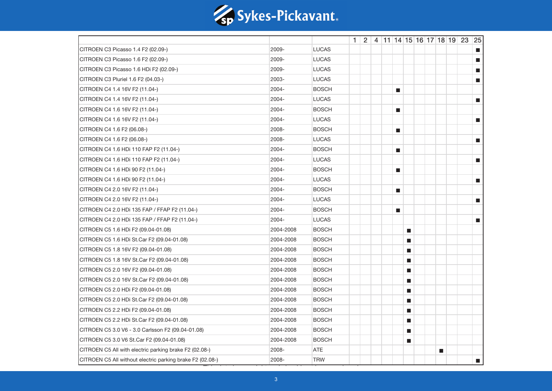

|                                                           |           |              |  |  |                             |                             |  |   | $1 \mid 2 \mid 4 \mid 11 \mid 14 \mid 15 \mid 16 \mid 17 \mid 18 \mid 19 \mid 23 \mid 25$ |                             |
|-----------------------------------------------------------|-----------|--------------|--|--|-----------------------------|-----------------------------|--|---|-------------------------------------------------------------------------------------------|-----------------------------|
| CITROEN C3 Picasso 1.4 F2 (02.09-)                        | 2009-     | <b>LUCAS</b> |  |  |                             |                             |  |   |                                                                                           | $\blacksquare$              |
| CITROEN C3 Picasso 1.6 F2 (02.09-)                        | 2009-     | <b>LUCAS</b> |  |  |                             |                             |  |   |                                                                                           | $\blacksquare$              |
| CITROEN C3 Picasso 1.6 HDi F2 (02.09-)                    | 2009-     | <b>LUCAS</b> |  |  |                             |                             |  |   |                                                                                           | П                           |
| CITROEN C3 Pluriel 1.6 F2 (04.03-)                        | 2003-     | <b>LUCAS</b> |  |  |                             |                             |  |   |                                                                                           | $\blacksquare$              |
| CITROEN C4 1.4 16V F2 (11.04-)                            | 2004-     | <b>BOSCH</b> |  |  | $\blacksquare$              |                             |  |   |                                                                                           |                             |
| CITROEN C4 1.4 16V F2 (11.04-)                            | 2004-     | <b>LUCAS</b> |  |  |                             |                             |  |   |                                                                                           | $\blacksquare$              |
| CITROEN C4 1.6 16V F2 (11.04-)                            | 2004-     | <b>BOSCH</b> |  |  | $\mathcal{L}_{\mathcal{A}}$ |                             |  |   |                                                                                           |                             |
| CITROEN C4 1.6 16V F2 (11.04-)                            | 2004-     | <b>LUCAS</b> |  |  |                             |                             |  |   |                                                                                           | $\blacksquare$              |
| CITROEN C4 1.6 F2 (06.08-)                                | 2008-     | <b>BOSCH</b> |  |  | П                           |                             |  |   |                                                                                           |                             |
| CITROEN C4 1.6 F2 (06.08-)                                | 2008-     | <b>LUCAS</b> |  |  |                             |                             |  |   |                                                                                           | П                           |
| CITROEN C4 1.6 HDi 110 FAP F2 (11.04-)                    | 2004-     | <b>BOSCH</b> |  |  | $\mathbb{R}^3$              |                             |  |   |                                                                                           |                             |
| CITROEN C4 1.6 HDi 110 FAP F2 (11.04-)                    | 2004-     | <b>LUCAS</b> |  |  |                             |                             |  |   |                                                                                           | $\mathcal{L}_{\mathcal{A}}$ |
| CITROEN C4 1.6 HDi 90 F2 (11.04-)                         | 2004-     | <b>BOSCH</b> |  |  | $\blacksquare$              |                             |  |   |                                                                                           |                             |
| CITROEN C4 1.6 HDi 90 F2 (11.04-)                         | 2004-     | <b>LUCAS</b> |  |  |                             |                             |  |   |                                                                                           | $\overline{\phantom{a}}$    |
| CITROEN C4 2.0 16V F2 (11.04-)                            | 2004-     | <b>BOSCH</b> |  |  | $\blacksquare$              |                             |  |   |                                                                                           |                             |
| CITROEN C4 2.0 16V F2 (11.04-)                            | 2004-     | <b>LUCAS</b> |  |  |                             |                             |  |   |                                                                                           | $\overline{\phantom{a}}$    |
| CITROEN C4 2.0 HDi 135 FAP / FFAP F2 (11.04-)             | 2004-     | <b>BOSCH</b> |  |  | $\blacksquare$              |                             |  |   |                                                                                           |                             |
| CITROEN C4 2.0 HDi 135 FAP / FFAP F2 (11.04-)             | 2004-     | <b>LUCAS</b> |  |  |                             |                             |  |   |                                                                                           | $\blacksquare$              |
| CITROEN C5 1.6 HDi F2 (09.04-01.08)                       | 2004-2008 | <b>BOSCH</b> |  |  |                             | $\mathcal{L}_{\mathcal{A}}$ |  |   |                                                                                           |                             |
| CITROEN C5 1.6 HDi St.Car F2 (09.04-01.08)                | 2004-2008 | <b>BOSCH</b> |  |  |                             | $\mathcal{L}_{\mathcal{A}}$ |  |   |                                                                                           |                             |
| CITROEN C5 1.8 16V F2 (09.04-01.08)                       | 2004-2008 | <b>BOSCH</b> |  |  |                             | $\mathcal{L}_{\mathcal{A}}$ |  |   |                                                                                           |                             |
| CITROEN C5 1.8 16V St.Car F2 (09.04-01.08)                | 2004-2008 | <b>BOSCH</b> |  |  |                             | $\mathcal{L}_{\mathcal{A}}$ |  |   |                                                                                           |                             |
| CITROEN C5 2.0 16V F2 (09.04-01.08)                       | 2004-2008 | <b>BOSCH</b> |  |  |                             | $\mathcal{L}_{\mathcal{A}}$ |  |   |                                                                                           |                             |
| CITROEN C5 2.0 16V St.Car F2 (09.04-01.08)                | 2004-2008 | <b>BOSCH</b> |  |  |                             | $\mathcal{L}_{\mathcal{A}}$ |  |   |                                                                                           |                             |
| CITROEN C5 2.0 HDi F2 (09.04-01.08)                       | 2004-2008 | <b>BOSCH</b> |  |  |                             | $\mathcal{L}_{\mathcal{A}}$ |  |   |                                                                                           |                             |
| CITROEN C5 2.0 HDi St.Car F2 (09.04-01.08)                | 2004-2008 | <b>BOSCH</b> |  |  |                             | $\mathcal{L}_{\mathcal{A}}$ |  |   |                                                                                           |                             |
| CITROEN C5 2.2 HDi F2 (09.04-01.08)                       | 2004-2008 | <b>BOSCH</b> |  |  |                             | $\mathcal{L}_{\mathcal{A}}$ |  |   |                                                                                           |                             |
| CITROEN C5 2.2 HDi St.Car F2 (09.04-01.08)                | 2004-2008 | <b>BOSCH</b> |  |  |                             | $\mathcal{L}_{\mathcal{A}}$ |  |   |                                                                                           |                             |
| CITROEN C5 3.0 V6 - 3.0 Carlsson F2 (09.04-01.08)         | 2004-2008 | <b>BOSCH</b> |  |  |                             | $\mathcal{L}_{\mathcal{A}}$ |  |   |                                                                                           |                             |
| CITROEN C5 3.0 V6 St.Car F2 (09.04-01.08)                 | 2004-2008 | <b>BOSCH</b> |  |  |                             | $\mathcal{L}_{\mathcal{A}}$ |  |   |                                                                                           |                             |
| CITROEN C5 All with electric parking brake F2 (02.08-)    | 2008-     | ATE          |  |  |                             |                             |  | П |                                                                                           |                             |
| CITROEN C5 All without electric parking brake F2 (02.08-) | 2008-     | <b>TRW</b>   |  |  |                             |                             |  |   |                                                                                           | $\blacksquare$              |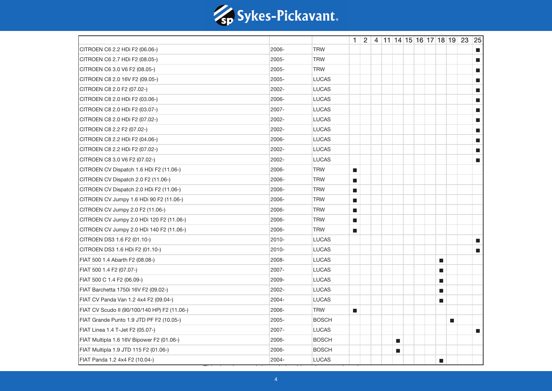

|                                              |       |              |                             |  |                |  |                             |   | $1 \mid 2 \mid 4 \mid 11 \mid 14 \mid 15 \mid 16 \mid 17 \mid 18 \mid 19 \mid 23 \mid 25$ |                             |
|----------------------------------------------|-------|--------------|-----------------------------|--|----------------|--|-----------------------------|---|-------------------------------------------------------------------------------------------|-----------------------------|
| CITROEN C6 2.2 HDi F2 (06.06-)               | 2006- | <b>TRW</b>   |                             |  |                |  |                             |   |                                                                                           | П                           |
| CITROEN C6 2.7 HDi F2 (08.05-)               | 2005- | <b>TRW</b>   |                             |  |                |  |                             |   |                                                                                           | П                           |
| CITROEN C6 3.0 V6 F2 (08.05-)                | 2005- | <b>TRW</b>   |                             |  |                |  |                             |   |                                                                                           | $\blacksquare$              |
| CITROEN C8 2.0 16V F2 (09.05-)               | 2005- | <b>LUCAS</b> |                             |  |                |  |                             |   |                                                                                           | $\blacksquare$              |
| CITROEN C8 2.0 F2 (07.02-)                   | 2002- | <b>LUCAS</b> |                             |  |                |  |                             |   |                                                                                           | $\blacksquare$              |
| CITROEN C8 2.0 HDi F2 (03.06-)               | 2006- | <b>LUCAS</b> |                             |  |                |  |                             |   |                                                                                           | n.                          |
| CITROEN C8 2.0 HDi F2 (03.07-)               | 2007- | <b>LUCAS</b> |                             |  |                |  |                             |   |                                                                                           | $\blacksquare$              |
| CITROEN C8 2.0 HDi F2 (07.02-)               | 2002- | <b>LUCAS</b> |                             |  |                |  |                             |   |                                                                                           | $\blacksquare$              |
| CITROEN C8 2.2 F2 (07.02-)                   | 2002- | <b>LUCAS</b> |                             |  |                |  |                             |   |                                                                                           | n.                          |
| CITROEN C8 2.2 HDi F2 (04.06-)               | 2006- | <b>LUCAS</b> |                             |  |                |  |                             |   |                                                                                           | П                           |
| CITROEN C8 2.2 HDi F2 (07.02-)               | 2002- | <b>LUCAS</b> |                             |  |                |  |                             |   |                                                                                           | П                           |
| CITROEN C8 3.0 V6 F2 (07.02-)                | 2002- | <b>LUCAS</b> |                             |  |                |  |                             |   |                                                                                           | $\blacksquare$              |
| CITROEN CV Dispatch 1.6 HDi F2 (11.06-)      | 2006- | <b>TRW</b>   | $\mathcal{L}_{\mathcal{A}}$ |  |                |  |                             |   |                                                                                           |                             |
| CITROEN CV Dispatch 2.0 F2 (11.06-)          | 2006- | <b>TRW</b>   | $\mathcal{L}_{\mathcal{A}}$ |  |                |  |                             |   |                                                                                           |                             |
| CITROEN CV Dispatch 2.0 HDi F2 (11.06-)      | 2006- | <b>TRW</b>   | $\mathcal{L}_{\mathcal{A}}$ |  |                |  |                             |   |                                                                                           |                             |
| CITROEN CV Jumpy 1.6 HDi 90 F2 (11.06-)      | 2006- | <b>TRW</b>   | $\mathcal{L}_{\mathcal{A}}$ |  |                |  |                             |   |                                                                                           |                             |
| CITROEN CV Jumpy 2.0 F2 (11.06-)             | 2006- | <b>TRW</b>   | $\mathcal{L}_{\mathcal{A}}$ |  |                |  |                             |   |                                                                                           |                             |
| CITROEN CV Jumpy 2.0 HDi 120 F2 (11.06-)     | 2006- | <b>TRW</b>   | $\mathcal{L}_{\mathcal{A}}$ |  |                |  |                             |   |                                                                                           |                             |
| CITROEN CV Jumpy 2.0 HDi 140 F2 (11.06-)     | 2006- | <b>TRW</b>   | $\mathcal{L}_{\mathcal{A}}$ |  |                |  |                             |   |                                                                                           |                             |
| CITROEN DS3 1.6 F2 (01.10-)                  | 2010- | <b>LUCAS</b> |                             |  |                |  |                             |   |                                                                                           | $\mathcal{L}_{\mathcal{A}}$ |
| CITROEN DS3 1.6 HDi F2 (01.10-)              | 2010- | <b>LUCAS</b> |                             |  |                |  |                             |   |                                                                                           | $\blacksquare$              |
| FIAT 500 1.4 Abarth F2 (08.08-)              | 2008- | <b>LUCAS</b> |                             |  |                |  | $\mathcal{L}_{\mathcal{A}}$ |   |                                                                                           |                             |
| FIAT 500 1.4 F2 (07.07-)                     | 2007- | <b>LUCAS</b> |                             |  |                |  | $\mathcal{L}_{\mathcal{A}}$ |   |                                                                                           |                             |
| FIAT 500 C 1.4 F2 (06.09-)                   | 2009- | <b>LUCAS</b> |                             |  |                |  | $\mathcal{L}_{\mathcal{A}}$ |   |                                                                                           |                             |
| FIAT Barchetta 1750i 16V F2 (09.02-)         | 2002- | <b>LUCAS</b> |                             |  |                |  | ш                           |   |                                                                                           |                             |
| FIAT CV Panda Van 1.2 4x4 F2 (09.04-)        | 2004- | <b>LUCAS</b> |                             |  |                |  | $\blacksquare$              |   |                                                                                           |                             |
| FIAT CV Scudo II (90/100/140 HP) F2 (11.06-) | 2006- | <b>TRW</b>   | $\mathcal{L}_{\mathcal{A}}$ |  |                |  |                             |   |                                                                                           |                             |
| FIAT Grande Punto 1.9 JTD PF F2 (10.05-)     | 2005- | <b>BOSCH</b> |                             |  |                |  |                             | П |                                                                                           |                             |
| FIAT Linea 1.4 T-Jet F2 (05.07-)             | 2007- | <b>LUCAS</b> |                             |  |                |  |                             |   |                                                                                           | $\mathcal{L}_{\mathcal{A}}$ |
| FIAT Multipla 1.6 16V Bipower F2 (01.06-)    | 2006- | <b>BOSCH</b> |                             |  | $\blacksquare$ |  |                             |   |                                                                                           |                             |
| FIAT Multipla 1.9 JTD 115 F2 (01.06-)        | 2006- | <b>BOSCH</b> |                             |  | П              |  |                             |   |                                                                                           |                             |
| FIAT Panda 1.2 4x4 F2 (10.04-)               | 2004- | <b>LUCAS</b> |                             |  |                |  | П                           |   |                                                                                           |                             |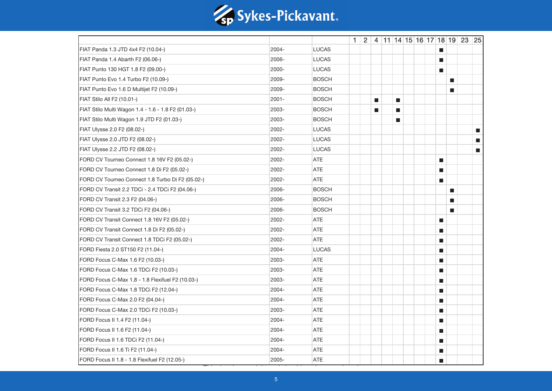

|                                                    |       |              |  |                |                |  |                             |              | $1 \mid 2 \mid 4 \mid 11 \mid 14 \mid 15 \mid 16 \mid 17 \mid 18 \mid 19 \mid 23 \mid 25$ |                          |
|----------------------------------------------------|-------|--------------|--|----------------|----------------|--|-----------------------------|--------------|-------------------------------------------------------------------------------------------|--------------------------|
| FIAT Panda 1.3 JTD 4x4 F2 (10.04-)                 | 2004- | <b>LUCAS</b> |  |                |                |  | $\mathbf{r}$                |              |                                                                                           |                          |
| FIAT Panda 1.4 Abarth F2 (06.06-)                  | 2006- | <b>LUCAS</b> |  |                |                |  | П                           |              |                                                                                           |                          |
| FIAT Punto 130 HGT 1.8 F2 (09.00-)                 | 2000- | <b>LUCAS</b> |  |                |                |  | П                           |              |                                                                                           |                          |
| FIAT Punto Evo 1.4 Turbo F2 (10.09-)               | 2009- | <b>BOSCH</b> |  |                |                |  |                             | $\mathbf{r}$ |                                                                                           |                          |
| FIAT Punto Evo 1.6 D Multijet F2 (10.09-)          | 2009- | <b>BOSCH</b> |  |                |                |  |                             | ш            |                                                                                           |                          |
| FIAT Stilo All F2 (10.01-)                         | 2001- | <b>BOSCH</b> |  | $\blacksquare$ | $\blacksquare$ |  |                             |              |                                                                                           |                          |
| FIAT Stilo Multi Wagon 1.4 - 1.6 - 1.8 F2 (01.03-) | 2003- | <b>BOSCH</b> |  | п              | $\blacksquare$ |  |                             |              |                                                                                           |                          |
| FIAT Stilo Multi Wagon 1.9 JTD F2 (01.03-)         | 2003- | <b>BOSCH</b> |  |                | a.             |  |                             |              |                                                                                           |                          |
| FIAT Ulysse 2.0 F2 (08.02-)                        | 2002- | <b>LUCAS</b> |  |                |                |  |                             |              |                                                                                           | $\blacksquare$           |
| FIAT Ulysse 2.0 JTD F2 (08.02-)                    | 2002- | <b>LUCAS</b> |  |                |                |  |                             |              |                                                                                           | $\overline{\phantom{a}}$ |
| FIAT Ulysse 2.2 JTD F2 (08.02-)                    | 2002- | <b>LUCAS</b> |  |                |                |  |                             |              |                                                                                           | П                        |
| FORD CV Tourneo Connect 1.8 16V F2 (05.02-)        | 2002- | <b>ATE</b>   |  |                |                |  | П                           |              |                                                                                           |                          |
| FORD CV Tourneo Connect 1.8 Di F2 (05.02-)         | 2002- | <b>ATE</b>   |  |                |                |  | $\mathcal{L}_{\mathcal{A}}$ |              |                                                                                           |                          |
| FORD CV Tourneo Connect 1.8 Turbo Di F2 (05.02-)   | 2002- | <b>ATE</b>   |  |                |                |  | ш                           |              |                                                                                           |                          |
| FORD CV Transit 2.2 TDCi - 2.4 TDCi F2 (04.06-)    | 2006- | <b>BOSCH</b> |  |                |                |  |                             | П            |                                                                                           |                          |
| FORD CV Transit 2.3 F2 (04.06-)                    | 2006- | <b>BOSCH</b> |  |                |                |  |                             | ш            |                                                                                           |                          |
| FORD CV Transit 3.2 TDCi F2 (04.06-)               | 2006- | <b>BOSCH</b> |  |                |                |  |                             | ш            |                                                                                           |                          |
| FORD CV Transit Connect 1.8 16V F2 (05.02-)        | 2002- | ATE          |  |                |                |  | $\mathcal{L}_{\mathcal{A}}$ |              |                                                                                           |                          |
| FORD CV Transit Connect 1.8 Di F2 (05.02-)         | 2002- | <b>ATE</b>   |  |                |                |  | $\mathcal{L}_{\mathcal{A}}$ |              |                                                                                           |                          |
| FORD CV Transit Connect 1.8 TDCi F2 (05.02-)       | 2002- | ATE          |  |                |                |  | П                           |              |                                                                                           |                          |
| FORD Fiesta 2.0 ST150 F2 (11.04-)                  | 2004- | <b>LUCAS</b> |  |                |                |  | п                           |              |                                                                                           |                          |
| FORD Focus C-Max 1.6 F2 (10.03-)                   | 2003- | <b>ATE</b>   |  |                |                |  | П                           |              |                                                                                           |                          |
| FORD Focus C-Max 1.6 TDCi F2 (10.03-)              | 2003- | <b>ATE</b>   |  |                |                |  | ш                           |              |                                                                                           |                          |
| FORD Focus C-Max 1.8 - 1.8 Flexifuel F2 (10.03-)   | 2003- | <b>ATE</b>   |  |                |                |  | $\mathcal{L}_{\mathcal{A}}$ |              |                                                                                           |                          |
| FORD Focus C-Max 1.8 TDCi F2 (12.04-)              | 2004- | <b>ATE</b>   |  |                |                |  | П                           |              |                                                                                           |                          |
| FORD Focus C-Max 2.0 F2 (04.04-)                   | 2004- | <b>ATE</b>   |  |                |                |  | П                           |              |                                                                                           |                          |
| FORD Focus C-Max 2.0 TDCi F2 (10.03-)              | 2003- | <b>ATE</b>   |  |                |                |  | П                           |              |                                                                                           |                          |
| FORD Focus II 1.4 F2 (11.04-)                      | 2004- | <b>ATE</b>   |  |                |                |  | ш                           |              |                                                                                           |                          |
| FORD Focus II 1.6 F2 (11.04-)                      | 2004- | <b>ATE</b>   |  |                |                |  | $\mathcal{L}_{\mathcal{A}}$ |              |                                                                                           |                          |
| FORD Focus II 1.6 TDCi F2 (11.04-)                 | 2004- | <b>ATE</b>   |  |                |                |  | ш                           |              |                                                                                           |                          |
| FORD Focus II 1.6 Ti F2 (11.04-)                   | 2004- | <b>ATE</b>   |  |                |                |  | П                           |              |                                                                                           |                          |
| FORD Focus II 1.8 - 1.8 Flexifuel F2 (12.05-)      | 2005- | <b>ATE</b>   |  |                |                |  | п                           |              |                                                                                           |                          |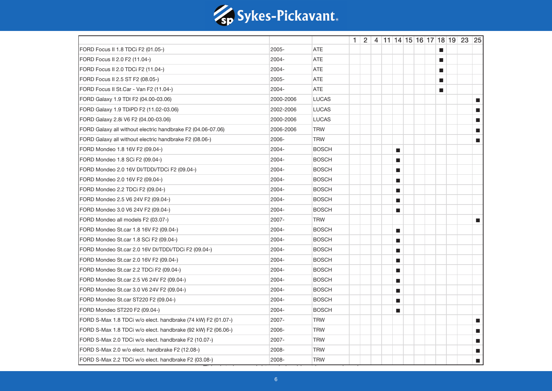

|                                                              |           |              |  |  |                             |  |                  | $1 \mid 2 \mid 4 \mid 11 \mid 14 \mid 15 \mid 16 \mid 17 \mid 18 \mid 19 \mid 23 \mid 25$ |                             |
|--------------------------------------------------------------|-----------|--------------|--|--|-----------------------------|--|------------------|-------------------------------------------------------------------------------------------|-----------------------------|
| FORD Focus II 1.8 TDCi F2 (01.05-)                           | 2005-     | <b>ATE</b>   |  |  |                             |  | <b>D</b>         |                                                                                           |                             |
| FORD Focus II 2.0 F2 (11.04-)                                | 2004-     | <b>ATE</b>   |  |  |                             |  | <b>The State</b> |                                                                                           |                             |
| FORD Focus II 2.0 TDCi F2 (11.04-)                           | 2004-     | <b>ATE</b>   |  |  |                             |  | П                |                                                                                           |                             |
| FORD Focus II 2.5 ST F2 (08.05-)                             | 2005-     | <b>ATE</b>   |  |  |                             |  | ш                |                                                                                           |                             |
| FORD Focus II St.Car - Van F2 (11.04-)                       | 2004-     | <b>ATE</b>   |  |  |                             |  | П                |                                                                                           |                             |
| FORD Galaxy 1.9 TDI F2 (04.00-03.06)                         | 2000-2006 | <b>LUCAS</b> |  |  |                             |  |                  |                                                                                           | a.                          |
| FORD Galaxy 1.9 TDiPD F2 (11.02-03.06)                       | 2002-2006 | <b>LUCAS</b> |  |  |                             |  |                  |                                                                                           | a.                          |
| FORD Galaxy 2.8i V6 F2 (04.00-03.06)                         | 2000-2006 | <b>LUCAS</b> |  |  |                             |  |                  |                                                                                           | m.                          |
| FORD Galaxy all without electric handbrake F2 (04.06-07.06)  | 2006-2006 | <b>TRW</b>   |  |  |                             |  |                  |                                                                                           | П                           |
| FORD Galaxy all without electric handbrake F2 (08.06-)       | 2006-     | <b>TRW</b>   |  |  |                             |  |                  |                                                                                           | П                           |
| FORD Mondeo 1.8 16V F2 (09.04-)                              | 2004-     | <b>BOSCH</b> |  |  | $\blacksquare$              |  |                  |                                                                                           |                             |
| FORD Mondeo 1.8 SCi F2 (09.04-)                              | 2004-     | <b>BOSCH</b> |  |  | $\blacksquare$              |  |                  |                                                                                           |                             |
| FORD Mondeo 2.0 16V DI/TDDi/TDCi F2 (09.04-)                 | 2004-     | <b>BOSCH</b> |  |  | $\mathbb{R}^3$              |  |                  |                                                                                           |                             |
| FORD Mondeo 2.0 16V F2 (09.04-)                              | 2004-     | <b>BOSCH</b> |  |  | П                           |  |                  |                                                                                           |                             |
| FORD Mondeo 2.2 TDCi F2 (09.04-)                             | 2004-     | <b>BOSCH</b> |  |  | $\blacksquare$              |  |                  |                                                                                           |                             |
| FORD Mondeo 2.5 V6 24V F2 (09.04-)                           | 2004-     | <b>BOSCH</b> |  |  | П                           |  |                  |                                                                                           |                             |
| FORD Mondeo 3.0 V6 24V F2 (09.04-)                           | 2004-     | <b>BOSCH</b> |  |  | $\blacksquare$              |  |                  |                                                                                           |                             |
| FORD Mondeo all models F2 (03.07-)                           | 2007-     | <b>TRW</b>   |  |  |                             |  |                  |                                                                                           | a.                          |
| FORD Mondeo St.car 1.8 16V F2 (09.04-)                       | 2004-     | <b>BOSCH</b> |  |  | $\mathcal{L}_{\mathcal{A}}$ |  |                  |                                                                                           |                             |
| FORD Mondeo St.car 1.8 SCi F2 (09.04-)                       | 2004-     | <b>BOSCH</b> |  |  | $\blacksquare$              |  |                  |                                                                                           |                             |
| FORD Mondeo St.car 2.0 16V DI/TDDi/TDCi F2 (09.04-)          | 2004-     | <b>BOSCH</b> |  |  | $\blacksquare$              |  |                  |                                                                                           |                             |
| FORD Mondeo St.car 2.0 16V F2 (09.04-)                       | 2004-     | <b>BOSCH</b> |  |  | $\blacksquare$              |  |                  |                                                                                           |                             |
| FORD Mondeo St.car 2.2 TDCi F2 (09.04-)                      | 2004-     | <b>BOSCH</b> |  |  | $\blacksquare$              |  |                  |                                                                                           |                             |
| FORD Mondeo St.car 2.5 V6 24V F2 (09.04-)                    | 2004-     | <b>BOSCH</b> |  |  | П                           |  |                  |                                                                                           |                             |
| FORD Mondeo St.car 3.0 V6 24V F2 (09.04-)                    | 2004-     | <b>BOSCH</b> |  |  | $\blacksquare$              |  |                  |                                                                                           |                             |
| FORD Mondeo St.car ST220 F2 (09.04-)                         | 2004-     | <b>BOSCH</b> |  |  | $\blacksquare$              |  |                  |                                                                                           |                             |
| FORD Mondeo ST220 F2 (09.04-)                                | 2004-     | <b>BOSCH</b> |  |  | П                           |  |                  |                                                                                           |                             |
| FORD S-Max 1.8 TDCi w/o elect. handbrake (74 kW) F2 (01.07-) | 2007-     | <b>TRW</b>   |  |  |                             |  |                  |                                                                                           | $\mathcal{L}_{\mathcal{A}}$ |
| FORD S-Max 1.8 TDCi w/o elect. handbrake (92 kW) F2 (06.06-) | 2006-     | <b>TRW</b>   |  |  |                             |  |                  |                                                                                           | $\blacksquare$              |
| FORD S-Max 2.0 TDCi w/o elect. handbrake F2 (10.07-)         | 2007-     | <b>TRW</b>   |  |  |                             |  |                  |                                                                                           | П                           |
| FORD S-Max 2.0 w/o elect. handbrake F2 (12.08-)              | 2008-     | <b>TRW</b>   |  |  |                             |  |                  |                                                                                           | m.                          |
| FORD S-Max 2.2 TDCi w/o elect. handbrake F2 (03.08-)         | 2008-     | <b>TRW</b>   |  |  |                             |  |                  |                                                                                           | $\blacksquare$              |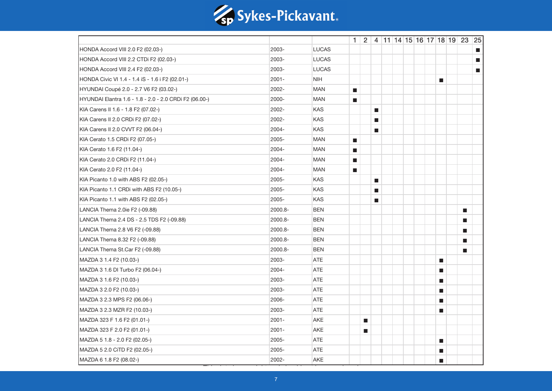

|                                                        |          |              |                             |                             |                             |  |  |                             | $1 \mid 2 \mid 4 \mid 11 \mid 14 \mid 15 \mid 16 \mid 17 \mid 18 \mid 19 \mid 23 \mid 25$ |                |
|--------------------------------------------------------|----------|--------------|-----------------------------|-----------------------------|-----------------------------|--|--|-----------------------------|-------------------------------------------------------------------------------------------|----------------|
| HONDA Accord VIII 2.0 F2 (02.03-)                      | 2003-    | <b>LUCAS</b> |                             |                             |                             |  |  |                             |                                                                                           | П              |
| HONDA Accord VIII 2.2 CTDi F2 (02.03-)                 | 2003-    | <b>LUCAS</b> |                             |                             |                             |  |  |                             |                                                                                           | П              |
| HONDA Accord VIII 2.4 F2 (02.03-)                      | 2003-    | <b>LUCAS</b> |                             |                             |                             |  |  |                             |                                                                                           | $\blacksquare$ |
| HONDA Civic VI 1.4 - 1.4 iS - 1.6 i F2 (02.01-)        | 2001-    | <b>NIH</b>   |                             |                             |                             |  |  | П                           |                                                                                           |                |
| HYUNDAI Coupé 2.0 - 2.7 V6 F2 (03.02-)                 | 2002-    | <b>MAN</b>   | $\blacksquare$              |                             |                             |  |  |                             |                                                                                           |                |
| HYUNDAI Elantra 1.6 - 1.8 - 2.0 - 2.0 CRDi F2 (06.00-) | 2000-    | <b>MAN</b>   | $\mathbf{r}$                |                             |                             |  |  |                             |                                                                                           |                |
| KIA Carens II 1.6 - 1.8 F2 (07.02-)                    | 2002-    | <b>KAS</b>   |                             |                             | $\mathcal{L}_{\mathcal{A}}$ |  |  |                             |                                                                                           |                |
| KIA Carens II 2.0 CRDi F2 (07.02-)                     | 2002-    | <b>KAS</b>   |                             |                             | $\blacksquare$              |  |  |                             |                                                                                           |                |
| KIA Carens II 2.0 CVVT F2 (06.04-)                     | 2004-    | <b>KAS</b>   |                             |                             | $\blacksquare$              |  |  |                             |                                                                                           |                |
| KIA Cerato 1.5 CRDi F2 (07.05-)                        | 2005-    | <b>MAN</b>   | $\mathcal{L}_{\mathcal{A}}$ |                             |                             |  |  |                             |                                                                                           |                |
| KIA Cerato 1.6 F2 (11.04-)                             | 2004-    | <b>MAN</b>   | $\mathcal{L}_{\mathcal{A}}$ |                             |                             |  |  |                             |                                                                                           |                |
| KIA Cerato 2.0 CRDi F2 (11.04-)                        | 2004-    | <b>MAN</b>   | $\mathcal{L}_{\mathcal{A}}$ |                             |                             |  |  |                             |                                                                                           |                |
| KIA Cerato 2.0 F2 (11.04-)                             | 2004-    | <b>MAN</b>   | $\blacksquare$              |                             |                             |  |  |                             |                                                                                           |                |
| KIA Picanto 1.0 with ABS F2 (02.05-)                   | 2005-    | <b>KAS</b>   |                             |                             | $\blacksquare$              |  |  |                             |                                                                                           |                |
| KIA Picanto 1.1 CRDi with ABS F2 (10.05-)              | 2005-    | KAS          |                             |                             | $\blacksquare$              |  |  |                             |                                                                                           |                |
| KIA Picanto 1.1 with ABS F2 (02.05-)                   | 2005-    | KAS          |                             |                             | $\mathcal{L}_{\mathcal{A}}$ |  |  |                             |                                                                                           |                |
| LANCIA Thema 2.0ie F2 (-09.88)                         | 2000.8-  | <b>BEN</b>   |                             |                             |                             |  |  |                             | $\blacksquare$                                                                            |                |
| LANCIA Thema 2.4 DS - 2.5 TDS F2 (-09.88)              | 2000.8-  | <b>BEN</b>   |                             |                             |                             |  |  |                             | ш                                                                                         |                |
| LANCIA Thema 2.8 V6 F2 (-09.88)                        | 2000.8-  | <b>BEN</b>   |                             |                             |                             |  |  |                             | ш                                                                                         |                |
| LANCIA Thema 8.32 F2 (-09.88)                          | 2000.8-  | <b>BEN</b>   |                             |                             |                             |  |  |                             | ш                                                                                         |                |
| LANCIA Thema St.Car F2 (-09.88)                        | 2000.8-  | <b>BEN</b>   |                             |                             |                             |  |  |                             | $\blacksquare$                                                                            |                |
| MAZDA 3 1.4 F2 (10.03-)                                | 2003-    | <b>ATE</b>   |                             |                             |                             |  |  | $\mathcal{L}_{\mathcal{A}}$ |                                                                                           |                |
| MAZDA 3 1.6 DI Turbo F2 (06.04-)                       | 2004-    | <b>ATE</b>   |                             |                             |                             |  |  | $\mathcal{L}_{\mathcal{A}}$ |                                                                                           |                |
| MAZDA 3 1.6 F2 (10.03-)                                | 2003-    | <b>ATE</b>   |                             |                             |                             |  |  | $\mathcal{L}_{\mathcal{A}}$ |                                                                                           |                |
| MAZDA 3 2.0 F2 (10.03-)                                | 2003-    | <b>ATE</b>   |                             |                             |                             |  |  | ш                           |                                                                                           |                |
| MAZDA 3 2.3 MPS F2 (06.06-)                            | 2006-    | ATE          |                             |                             |                             |  |  | $\blacksquare$              |                                                                                           |                |
| MAZDA 3 2.3 MZR F2 (10.03-)                            | 2003-    | <b>ATE</b>   |                             |                             |                             |  |  | П                           |                                                                                           |                |
| MAZDA 323 F 1.6 F2 (01.01-)                            | $2001 -$ | <b>AKE</b>   |                             | $\blacksquare$              |                             |  |  |                             |                                                                                           |                |
| MAZDA 323 F 2.0 F2 (01.01-)                            | 2001-    | <b>AKE</b>   |                             | $\mathcal{L}_{\mathcal{A}}$ |                             |  |  |                             |                                                                                           |                |
| MAZDA 5 1.8 - 2.0 F2 (02.05-)                          | 2005-    | <b>ATE</b>   |                             |                             |                             |  |  | $\mathcal{L}_{\mathcal{A}}$ |                                                                                           |                |
| MAZDA 5 2.0 CITD F2 (02.05-)                           | 2005-    | <b>ATE</b>   |                             |                             |                             |  |  | $\mathcal{L}_{\mathcal{A}}$ |                                                                                           |                |
| MAZDA 6 1.8 F2 (08.02-)                                | 2002-    | AKE          |                             |                             |                             |  |  | П                           |                                                                                           |                |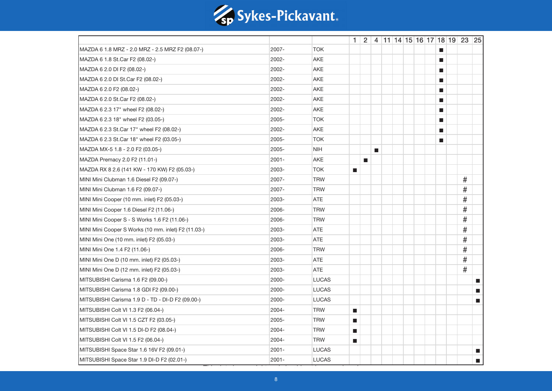

|                                                     |       |              |                             |                |                |  |  |                             | $1 \mid 2 \mid 4 \mid 11 \mid 14 \mid 15 \mid 16 \mid 17 \mid 18 \mid 19 \mid 23 \mid 25$ |                |
|-----------------------------------------------------|-------|--------------|-----------------------------|----------------|----------------|--|--|-----------------------------|-------------------------------------------------------------------------------------------|----------------|
| MAZDA 6 1.8 MRZ - 2.0 MRZ - 2.5 MRZ F2 (08.07-)     | 2007- | <b>TOK</b>   |                             |                |                |  |  | <b>D</b>                    |                                                                                           |                |
| MAZDA 6 1.8 St.Car F2 (08.02-)                      | 2002- | <b>AKE</b>   |                             |                |                |  |  | <b>The State</b>            |                                                                                           |                |
| MAZDA 6 2.0 DI F2 (08.02-)                          | 2002- | AKE          |                             |                |                |  |  | П                           |                                                                                           |                |
| MAZDA 6 2.0 DI St.Car F2 (08.02-)                   | 2002- | <b>AKE</b>   |                             |                |                |  |  | ш                           |                                                                                           |                |
| MAZDA 6 2.0 F2 (08.02-)                             | 2002- | <b>AKE</b>   |                             |                |                |  |  | $\mathcal{L}_{\mathcal{A}}$ |                                                                                           |                |
| MAZDA 6 2.0 St.Car F2 (08.02-)                      | 2002- | AKE          |                             |                |                |  |  | П                           |                                                                                           |                |
| MAZDA 6 2.3 17" wheel F2 (08.02-)                   | 2002- | AKE          |                             |                |                |  |  | $\mathcal{L}_{\mathcal{A}}$ |                                                                                           |                |
| MAZDA 6 2.3 18" wheel F2 (03.05-)                   | 2005- | <b>TOK</b>   |                             |                |                |  |  | П                           |                                                                                           |                |
| MAZDA 6 2.3 St.Car 17" wheel F2 (08.02-)            | 2002- | AKE          |                             |                |                |  |  | $\mathbf{r}$                |                                                                                           |                |
| MAZDA 6 2.3 St.Car 18" wheel F2 (03.05-)            | 2005- | <b>TOK</b>   |                             |                |                |  |  | $\blacksquare$              |                                                                                           |                |
| MAZDA MX-5 1.8 - 2.0 F2 (03.05-)                    | 2005- | <b>NIH</b>   |                             |                | $\blacksquare$ |  |  |                             |                                                                                           |                |
| MAZDA Premacy 2.0 F2 (11.01-)                       | 2001- | <b>AKE</b>   |                             | $\blacksquare$ |                |  |  |                             |                                                                                           |                |
| MAZDA RX 8 2.6 (141 KW - 170 KW) F2 (05.03-)        | 2003- | <b>TOK</b>   | $\blacksquare$              |                |                |  |  |                             |                                                                                           |                |
| MINI Mini Clubman 1.6 Diesel F2 (09.07-)            | 2007- | <b>TRW</b>   |                             |                |                |  |  |                             | #                                                                                         |                |
| MINI Mini Clubman 1.6 F2 (09.07-)                   | 2007- | <b>TRW</b>   |                             |                |                |  |  |                             | $\#$                                                                                      |                |
| MINI Mini Cooper (10 mm. inlet) F2 (05.03-)         | 2003- | <b>ATE</b>   |                             |                |                |  |  |                             | $\#$                                                                                      |                |
| MINI Mini Cooper 1.6 Diesel F2 (11.06-)             | 2006- | <b>TRW</b>   |                             |                |                |  |  |                             | $\#$                                                                                      |                |
| MINI Mini Cooper S - S Works 1.6 F2 (11.06-)        | 2006- | <b>TRW</b>   |                             |                |                |  |  |                             | $\#$                                                                                      |                |
| MINI Mini Cooper S Works (10 mm. inlet) F2 (11.03-) | 2003- | ATE          |                             |                |                |  |  |                             | #                                                                                         |                |
| MINI Mini One (10 mm. inlet) F2 (05.03-)            | 2003- | <b>ATE</b>   |                             |                |                |  |  |                             | $\#$                                                                                      |                |
| MINI Mini One 1.4 F2 (11.06-)                       | 2006- | <b>TRW</b>   |                             |                |                |  |  |                             | $\#$                                                                                      |                |
| MINI Mini One D (10 mm. inlet) F2 (05.03-)          | 2003- | <b>ATE</b>   |                             |                |                |  |  |                             | $\#$                                                                                      |                |
| MINI Mini One D (12 mm. inlet) F2 (05.03-)          | 2003- | ATE          |                             |                |                |  |  |                             | $\#$                                                                                      |                |
| MITSUBISHI Carisma 1.6 F2 (09.00-)                  | 2000- | <b>LUCAS</b> |                             |                |                |  |  |                             |                                                                                           | П              |
| MITSUBISHI Carisma 1.8 GDI F2 (09.00-)              | 2000- | <b>LUCAS</b> |                             |                |                |  |  |                             |                                                                                           | a.             |
| MITSUBISHI Carisma 1.9 D - TD - DI-D F2 (09.00-)    | 2000- | <b>LUCAS</b> |                             |                |                |  |  |                             |                                                                                           | a.             |
| MITSUBISHI Colt VI 1.3 F2 (06.04-)                  | 2004- | <b>TRW</b>   | $\mathcal{L}_{\mathcal{A}}$ |                |                |  |  |                             |                                                                                           |                |
| MITSUBISHI Colt VI 1.5 CZT F2 (03.05-)              | 2005- | <b>TRW</b>   | $\blacksquare$              |                |                |  |  |                             |                                                                                           |                |
| MITSUBISHI Colt VI 1.5 DI-D F2 (08.04-)             | 2004- | <b>TRW</b>   | $\mathcal{L}_{\mathcal{A}}$ |                |                |  |  |                             |                                                                                           |                |
| MITSUBISHI Colt VI 1.5 F2 (06.04-)                  | 2004- | <b>TRW</b>   | $\blacksquare$              |                |                |  |  |                             |                                                                                           |                |
| MITSUBISHI Space Star 1.6 16V F2 (09.01-)           | 2001- | <b>LUCAS</b> |                             |                |                |  |  |                             |                                                                                           | П              |
| MITSUBISHI Space Star 1.9 DI-D F2 (02.01-)          | 2001- | <b>LUCAS</b> |                             |                |                |  |  |                             |                                                                                           | $\blacksquare$ |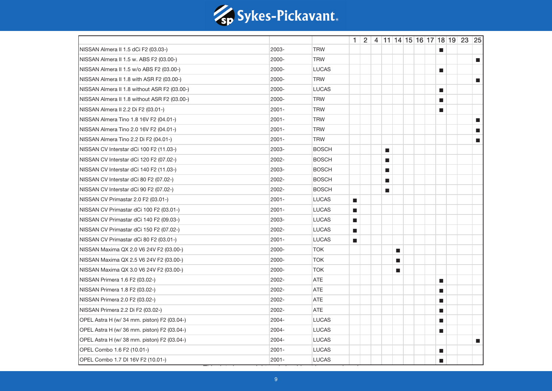

|                                              |          |              |                             |  |                             |                             |  |                             | $1 \mid 2 \mid 4 \mid 11 \mid 14 \mid 15 \mid 16 \mid 17 \mid 18 \mid 19 \mid 23 \mid 25$ |                          |
|----------------------------------------------|----------|--------------|-----------------------------|--|-----------------------------|-----------------------------|--|-----------------------------|-------------------------------------------------------------------------------------------|--------------------------|
| NISSAN Almera II 1.5 dCi F2 (03.03-)         | 2003-    | <b>TRW</b>   |                             |  |                             |                             |  | П                           |                                                                                           |                          |
| NISSAN Almera II 1.5 w. ABS F2 (03.00-)      | 2000-    | <b>TRW</b>   |                             |  |                             |                             |  |                             |                                                                                           | $\overline{\phantom{a}}$ |
| NISSAN Almera II 1.5 w/o ABS F2 (03.00-)     | 2000-    | <b>LUCAS</b> |                             |  |                             |                             |  | П                           |                                                                                           |                          |
| NISSAN Almera II 1.8 with ASR F2 (03.00-)    | 2000-    | <b>TRW</b>   |                             |  |                             |                             |  |                             |                                                                                           | $\overline{\phantom{a}}$ |
| NISSAN Almera II 1.8 without ASR F2 (03.00-) | 2000-    | <b>LUCAS</b> |                             |  |                             |                             |  | $\mathcal{L}_{\mathcal{A}}$ |                                                                                           |                          |
| NISSAN Almera II 1.8 without ASR F2 (03.00-) | 2000-    | <b>TRW</b>   |                             |  |                             |                             |  | П                           |                                                                                           |                          |
| NISSAN Almera II 2.2 Di F2 (03.01-)          | 2001-    | <b>TRW</b>   |                             |  |                             |                             |  | П                           |                                                                                           |                          |
| NISSAN Almera Tino 1.8 16V F2 (04.01-)       | $2001 -$ | <b>TRW</b>   |                             |  |                             |                             |  |                             |                                                                                           | П                        |
| NISSAN Almera Tino 2.0 16V F2 (04.01-)       | 2001-    | <b>TRW</b>   |                             |  |                             |                             |  |                             |                                                                                           | $\blacksquare$           |
| NISSAN Almera Tino 2.2 Di F2 (04.01-)        | 2001-    | <b>TRW</b>   |                             |  |                             |                             |  |                             |                                                                                           | $\overline{\phantom{a}}$ |
| NISSAN CV Interstar dCi 100 F2 (11.03-)      | 2003-    | <b>BOSCH</b> |                             |  | $\mathcal{L}_{\mathcal{A}}$ |                             |  |                             |                                                                                           |                          |
| NISSAN CV Interstar dCi 120 F2 (07.02-)      | 2002-    | <b>BOSCH</b> |                             |  | $\blacksquare$              |                             |  |                             |                                                                                           |                          |
| NISSAN CV Interstar dCi 140 F2 (11.03-)      | 2003-    | <b>BOSCH</b> |                             |  | $\blacksquare$              |                             |  |                             |                                                                                           |                          |
| NISSAN CV Interstar dCi 80 F2 (07.02-)       | 2002-    | <b>BOSCH</b> |                             |  | $\mathcal{L}_{\mathcal{A}}$ |                             |  |                             |                                                                                           |                          |
| NISSAN CV Interstar dCi 90 F2 (07.02-)       | 2002-    | <b>BOSCH</b> |                             |  | $\blacksquare$              |                             |  |                             |                                                                                           |                          |
| NISSAN CV Primastar 2.0 F2 (03.01-)          | 2001-    | <b>LUCAS</b> | $\mathcal{L}_{\mathcal{A}}$ |  |                             |                             |  |                             |                                                                                           |                          |
| NISSAN CV Primastar dCi 100 F2 (03.01-)      | 2001-    | <b>LUCAS</b> | $\mathcal{L}_{\mathcal{A}}$ |  |                             |                             |  |                             |                                                                                           |                          |
| NISSAN CV Primastar dCi 140 F2 (09.03-)      | 2003-    | <b>LUCAS</b> | $\mathcal{L}_{\mathcal{A}}$ |  |                             |                             |  |                             |                                                                                           |                          |
| NISSAN CV Primastar dCi 150 F2 (07.02-)      | 2002-    | <b>LUCAS</b> | $\mathcal{L}_{\mathcal{A}}$ |  |                             |                             |  |                             |                                                                                           |                          |
| NISSAN CV Primastar dCi 80 F2 (03.01-)       | 2001-    | <b>LUCAS</b> | $\blacksquare$              |  |                             |                             |  |                             |                                                                                           |                          |
| NISSAN Maxima QX 2.0 V6 24V F2 (03.00-)      | 2000-    | <b>TOK</b>   |                             |  |                             | $\mathcal{L}_{\mathcal{A}}$ |  |                             |                                                                                           |                          |
| NISSAN Maxima QX 2.5 V6 24V F2 (03.00-)      | 2000-    | <b>TOK</b>   |                             |  |                             | $\blacksquare$              |  |                             |                                                                                           |                          |
| NISSAN Maxima QX 3.0 V6 24V F2 (03.00-)      | 2000-    | <b>TOK</b>   |                             |  |                             | <b>The State</b>            |  |                             |                                                                                           |                          |
| NISSAN Primera 1.6 F2 (03.02-)               | 2002-    | <b>ATE</b>   |                             |  |                             |                             |  | $\mathcal{L}_{\mathcal{A}}$ |                                                                                           |                          |
| NISSAN Primera 1.8 F2 (03.02-)               | 2002-    | <b>ATE</b>   |                             |  |                             |                             |  | П                           |                                                                                           |                          |
| NISSAN Primera 2.0 F2 (03.02-)               | 2002-    | <b>ATE</b>   |                             |  |                             |                             |  | П                           |                                                                                           |                          |
| NISSAN Primera 2.2 Di F2 (03.02-)            | 2002-    | <b>ATE</b>   |                             |  |                             |                             |  | П                           |                                                                                           |                          |
| OPEL Astra H (w/ 34 mm. piston) F2 (03.04-)  | 2004-    | <b>LUCAS</b> |                             |  |                             |                             |  | ш                           |                                                                                           |                          |
| OPEL Astra H (w/ 36 mm. piston) F2 (03.04-)  | 2004-    | <b>LUCAS</b> |                             |  |                             |                             |  | $\mathcal{L}_{\mathcal{A}}$ |                                                                                           |                          |
| OPEL Astra H (w/ 38 mm. piston) F2 (03.04-)  | 2004-    | <b>LUCAS</b> |                             |  |                             |                             |  |                             |                                                                                           | П                        |
| OPEL Combo 1.6 F2 (10.01-)                   | 2001-    | <b>LUCAS</b> |                             |  |                             |                             |  | ш                           |                                                                                           |                          |
| OPEL Combo 1.7 DI 16V F2 (10.01-)            | 2001-    | <b>LUCAS</b> |                             |  |                             |                             |  | п                           |                                                                                           |                          |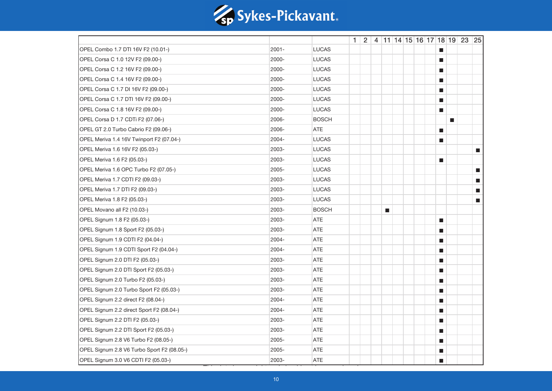

|                                            |          |              |  |   |  |  |                             | $1 \mid 2 \mid 4 \mid 11 \mid 14 \mid 15 \mid 16 \mid 17 \mid 18 \mid 19 \mid 23 \mid 25$ |                             |
|--------------------------------------------|----------|--------------|--|---|--|--|-----------------------------|-------------------------------------------------------------------------------------------|-----------------------------|
| OPEL Combo 1.7 DTI 16V F2 (10.01-)         | $2001 -$ | <b>LUCAS</b> |  |   |  |  | $\mathbf{r}$                |                                                                                           |                             |
| OPEL Corsa C 1.0 12V F2 (09.00-)           | 2000-    | <b>LUCAS</b> |  |   |  |  | П                           |                                                                                           |                             |
| OPEL Corsa C 1.2 16V F2 (09.00-)           | 2000-    | <b>LUCAS</b> |  |   |  |  | П                           |                                                                                           |                             |
| OPEL Corsa C 1.4 16V F2 (09.00-)           | 2000-    | <b>LUCAS</b> |  |   |  |  | ш                           |                                                                                           |                             |
| OPEL Corsa C 1.7 DI 16V F2 (09.00-)        | 2000-    | <b>LUCAS</b> |  |   |  |  | $\mathcal{L}_{\mathcal{A}}$ |                                                                                           |                             |
| OPEL Corsa C 1.7 DTI 16V F2 (09.00-)       | 2000-    | <b>LUCAS</b> |  |   |  |  | $\blacksquare$              |                                                                                           |                             |
| OPEL Corsa C 1.8 16V F2 (09.00-)           | 2000-    | <b>LUCAS</b> |  |   |  |  | $\mathcal{L}_{\mathcal{A}}$ |                                                                                           |                             |
| OPEL Corsa D 1.7 CDTi F2 (07.06-)          | 2006-    | <b>BOSCH</b> |  |   |  |  |                             | <b>College</b>                                                                            |                             |
| OPEL GT 2.0 Turbo Cabrio F2 (09.06-)       | 2006-    | ATE          |  |   |  |  | П                           |                                                                                           |                             |
| OPEL Meriva 1.4 16V Twinport F2 (07.04-)   | 2004-    | <b>LUCAS</b> |  |   |  |  | $\blacksquare$              |                                                                                           |                             |
| OPEL Meriva 1.6 16V F2 (05.03-)            | 2003-    | <b>LUCAS</b> |  |   |  |  |                             |                                                                                           | $\blacksquare$              |
| OPEL Meriva 1.6 F2 (05.03-)                | 2003-    | <b>LUCAS</b> |  |   |  |  | П                           |                                                                                           |                             |
| OPEL Meriva 1.6 OPC Turbo F2 (07.05-)      | 2005-    | <b>LUCAS</b> |  |   |  |  |                             |                                                                                           | $\mathcal{L}_{\mathcal{A}}$ |
| OPEL Meriva 1.7 CDTI F2 (09.03-)           | 2003-    | <b>LUCAS</b> |  |   |  |  |                             |                                                                                           | $\blacksquare$              |
| OPEL Meriva 1.7 DTI F2 (09.03-)            | 2003-    | <b>LUCAS</b> |  |   |  |  |                             |                                                                                           | $\blacksquare$              |
| OPEL Meriva 1.8 F2 (05.03-)                | 2003-    | <b>LUCAS</b> |  |   |  |  |                             |                                                                                           | П                           |
| OPEL Movano all F2 (10.03-)                | 2003-    | <b>BOSCH</b> |  | П |  |  |                             |                                                                                           |                             |
| OPEL Signum 1.8 F2 (05.03-)                | 2003-    | ATE          |  |   |  |  | $\mathcal{L}_{\mathcal{A}}$ |                                                                                           |                             |
| OPEL Signum 1.8 Sport F2 (05.03-)          | 2003-    | ATE          |  |   |  |  | $\mathcal{L}_{\mathcal{A}}$ |                                                                                           |                             |
| OPEL Signum 1.9 CDTI F2 (04.04-)           | 2004-    | ATE          |  |   |  |  | $\blacksquare$              |                                                                                           |                             |
| OPEL Signum 1.9 CDTI Sport F2 (04.04-)     | 2004-    | <b>ATE</b>   |  |   |  |  | п                           |                                                                                           |                             |
| OPEL Signum 2.0 DTI F2 (05.03-)            | 2003-    | <b>ATE</b>   |  |   |  |  | П                           |                                                                                           |                             |
| OPEL Signum 2.0 DTI Sport F2 (05.03-)      | 2003-    | ATE          |  |   |  |  | ш                           |                                                                                           |                             |
| OPEL Signum 2.0 Turbo F2 (05.03-)          | 2003-    | <b>ATE</b>   |  |   |  |  | $\mathcal{L}_{\mathcal{A}}$ |                                                                                           |                             |
| OPEL Signum 2.0 Turbo Sport F2 (05.03-)    | 2003-    | ATE          |  |   |  |  | $\blacksquare$              |                                                                                           |                             |
| OPEL Signum 2.2 direct F2 (08.04-)         | 2004-    | <b>ATE</b>   |  |   |  |  | П                           |                                                                                           |                             |
| OPEL Signum 2.2 direct Sport F2 (08.04-)   | 2004-    | ATE          |  |   |  |  | П                           |                                                                                           |                             |
| OPEL Signum 2.2 DTI F2 (05.03-)            | 2003-    | ATE          |  |   |  |  | ш                           |                                                                                           |                             |
| OPEL Signum 2.2 DTI Sport F2 (05.03-)      | 2003-    | <b>ATE</b>   |  |   |  |  | $\mathcal{L}_{\mathcal{A}}$ |                                                                                           |                             |
| OPEL Signum 2.8 V6 Turbo F2 (08.05-)       | 2005-    | <b>ATE</b>   |  |   |  |  | ш                           |                                                                                           |                             |
| OPEL Signum 2.8 V6 Turbo Sport F2 (08.05-) | 2005-    | <b>ATE</b>   |  |   |  |  | П                           |                                                                                           |                             |
| OPEL Signum 3.0 V6 CDTI F2 (05.03-)        | 2003-    | <b>ATE</b>   |  |   |  |  | П                           |                                                                                           |                             |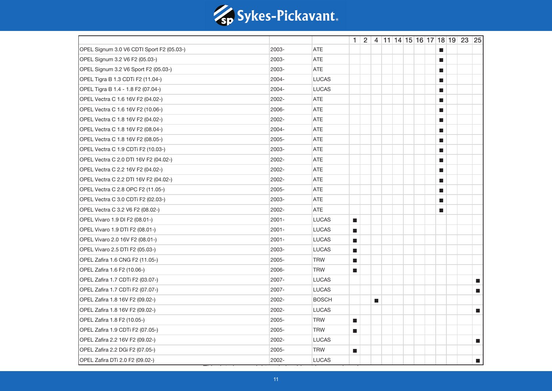

|                                           |          |              |                             |                |  |  |                             | $1 \mid 2 \mid 4 \mid 11 \mid 14 \mid 15 \mid 16 \mid 17 \mid 18 \mid 19 \mid 23 \mid 25$ |                             |
|-------------------------------------------|----------|--------------|-----------------------------|----------------|--|--|-----------------------------|-------------------------------------------------------------------------------------------|-----------------------------|
| OPEL Signum 3.0 V6 CDTI Sport F2 (05.03-) | 2003-    | <b>ATE</b>   |                             |                |  |  | $\mathbf{r}$                |                                                                                           |                             |
| OPEL Signum 3.2 V6 F2 (05.03-)            | 2003-    | <b>ATE</b>   |                             |                |  |  | П                           |                                                                                           |                             |
| OPEL Signum 3.2 V6 Sport F2 (05.03-)      | 2003-    | <b>ATE</b>   |                             |                |  |  | П                           |                                                                                           |                             |
| OPEL Tigra B 1.3 CDTi F2 (11.04-)         | 2004-    | <b>LUCAS</b> |                             |                |  |  | ш                           |                                                                                           |                             |
| OPEL Tigra B 1.4 - 1.8 F2 (07.04-)        | 2004-    | <b>LUCAS</b> |                             |                |  |  | $\mathcal{L}_{\mathcal{A}}$ |                                                                                           |                             |
| OPEL Vectra C 1.6 16V F2 (04.02-)         | 2002-    | <b>ATE</b>   |                             |                |  |  | ш                           |                                                                                           |                             |
| OPEL Vectra C 1.6 16V F2 (10.06-)         | 2006-    | <b>ATE</b>   |                             |                |  |  | $\mathcal{L}_{\mathcal{A}}$ |                                                                                           |                             |
| OPEL Vectra C 1.8 16V F2 (04.02-)         | 2002-    | ATE          |                             |                |  |  | П                           |                                                                                           |                             |
| OPEL Vectra C 1.8 16V F2 (08.04-)         | 2004-    | <b>ATE</b>   |                             |                |  |  | ш                           |                                                                                           |                             |
| OPEL Vectra C 1.8 16V F2 (08.05-)         | 2005-    | <b>ATE</b>   |                             |                |  |  | $\mathcal{L}_{\mathcal{A}}$ |                                                                                           |                             |
| OPEL Vectra C 1.9 CDTi F2 (10.03-)        | 2003-    | <b>ATE</b>   |                             |                |  |  | ш                           |                                                                                           |                             |
| OPEL Vectra C 2.0 DTI 16V F2 (04.02-)     | 2002-    | <b>ATE</b>   |                             |                |  |  | ш                           |                                                                                           |                             |
| OPEL Vectra C 2.2 16V F2 (04.02-)         | 2002-    | <b>ATE</b>   |                             |                |  |  | $\mathcal{L}_{\mathcal{A}}$ |                                                                                           |                             |
| OPEL Vectra C 2.2 DTI 16V F2 (04.02-)     | 2002-    | <b>ATE</b>   |                             |                |  |  | ш                           |                                                                                           |                             |
| OPEL Vectra C 2.8 OPC F2 (11.05-)         | 2005-    | <b>ATE</b>   |                             |                |  |  | $\blacksquare$              |                                                                                           |                             |
| OPEL Vectra C 3.0 CDTi F2 (02.03-)        | 2003-    | <b>ATE</b>   |                             |                |  |  | ш                           |                                                                                           |                             |
| OPEL Vectra C 3.2 V6 F2 (08.02-)          | 2002-    | <b>ATE</b>   |                             |                |  |  | П                           |                                                                                           |                             |
| OPEL Vivaro 1.9 DI F2 (08.01-)            | $2001 -$ | <b>LUCAS</b> | $\mathcal{L}_{\mathcal{A}}$ |                |  |  |                             |                                                                                           |                             |
| OPEL Vivaro 1.9 DTI F2 (08.01-)           | 2001-    | <b>LUCAS</b> | $\mathcal{L}_{\mathcal{A}}$ |                |  |  |                             |                                                                                           |                             |
| OPEL Vivaro 2.0 16V F2 (08.01-)           | 2001-    | <b>LUCAS</b> | $\blacksquare$              |                |  |  |                             |                                                                                           |                             |
| OPEL Vivaro 2.5 DTI F2 (05.03-)           | 2003-    | <b>LUCAS</b> | $\mathcal{L}_{\mathcal{A}}$ |                |  |  |                             |                                                                                           |                             |
| OPEL Zafira 1.6 CNG F2 (11.05-)           | 2005-    | <b>TRW</b>   | $\mathcal{L}_{\mathcal{A}}$ |                |  |  |                             |                                                                                           |                             |
| OPEL Zafira 1.6 F2 (10.06-)               | 2006-    | <b>TRW</b>   | $\blacksquare$              |                |  |  |                             |                                                                                           |                             |
| OPEL Zafira 1.7 CDTi F2 (03.07-)          | 2007-    | <b>LUCAS</b> |                             |                |  |  |                             |                                                                                           | $\mathcal{L}_{\mathcal{A}}$ |
| OPEL Zafira 1.7 CDTi F2 (07.07-)          | 2007-    | <b>LUCAS</b> |                             |                |  |  |                             |                                                                                           | $\blacksquare$              |
| OPEL Zafira 1.8 16V F2 (09.02-)           | 2002-    | <b>BOSCH</b> |                             | $\blacksquare$ |  |  |                             |                                                                                           |                             |
| OPEL Zafira 1.8 16V F2 (09.02-)           | 2002-    | <b>LUCAS</b> |                             |                |  |  |                             |                                                                                           | $\mathcal{L}_{\mathcal{A}}$ |
| OPEL Zafira 1.8 F2 (10.05-)               | 2005-    | <b>TRW</b>   | $\blacksquare$              |                |  |  |                             |                                                                                           |                             |
| OPEL Zafira 1.9 CDTi F2 (07.05-)          | 2005-    | <b>TRW</b>   | $\mathcal{L}_{\mathcal{A}}$ |                |  |  |                             |                                                                                           |                             |
| OPEL Zafira 2.2 16V F2 (09.02-)           | 2002-    | <b>LUCAS</b> |                             |                |  |  |                             |                                                                                           | $\mathcal{L}_{\mathcal{A}}$ |
| OPEL Zafira 2.2 DGi F2 (07.05-)           | 2005-    | <b>TRW</b>   | $\mathcal{L}_{\mathcal{A}}$ |                |  |  |                             |                                                                                           |                             |
| OPEL Zafira DTi 2.0 F2 (09.02-)           | 2002-    | <b>LUCAS</b> |                             |                |  |  |                             |                                                                                           | $\blacksquare$              |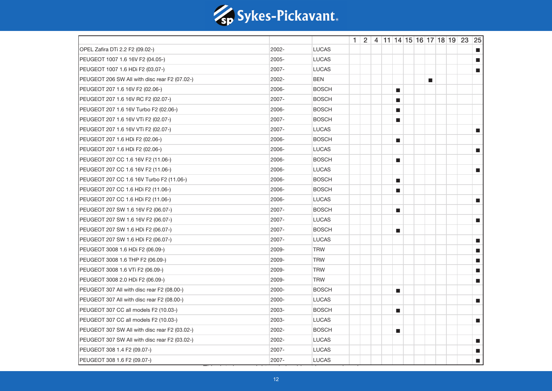

|                                               |       |              |  |  |                             |  |                             |  | $1 \mid 2 \mid 4 \mid 11 \mid 14 \mid 15 \mid 16 \mid 17 \mid 18 \mid 19 \mid 23 \mid 25$ |                             |
|-----------------------------------------------|-------|--------------|--|--|-----------------------------|--|-----------------------------|--|-------------------------------------------------------------------------------------------|-----------------------------|
| OPEL Zafira DTi 2.2 F2 (09.02-)               | 2002- | <b>LUCAS</b> |  |  |                             |  |                             |  |                                                                                           | $\blacksquare$              |
| PEUGEOT 1007 1.6 16V F2 (04.05-)              | 2005- | <b>LUCAS</b> |  |  |                             |  |                             |  |                                                                                           | П                           |
| PEUGEOT 1007 1.6 HDi F2 (03.07-)              | 2007- | <b>LUCAS</b> |  |  |                             |  |                             |  |                                                                                           | a.                          |
| PEUGEOT 206 SW All with disc rear F2 (07.02-) | 2002- | <b>BEN</b>   |  |  |                             |  | $\mathcal{L}_{\mathcal{A}}$ |  |                                                                                           |                             |
| PEUGEOT 207 1.6 16V F2 (02.06-)               | 2006- | <b>BOSCH</b> |  |  | $\mathcal{L}_{\mathcal{A}}$ |  |                             |  |                                                                                           |                             |
| PEUGEOT 207 1.6 16V RC F2 (02.07-)            | 2007- | <b>BOSCH</b> |  |  | <b>The State</b>            |  |                             |  |                                                                                           |                             |
| PEUGEOT 207 1.6 16V Turbo F2 (02.06-)         | 2006- | <b>BOSCH</b> |  |  | $\blacksquare$              |  |                             |  |                                                                                           |                             |
| PEUGEOT 207 1.6 16V VTi F2 (02.07-)           | 2007- | <b>BOSCH</b> |  |  | П                           |  |                             |  |                                                                                           |                             |
| PEUGEOT 207 1.6 16V VTi F2 (02.07-)           | 2007- | <b>LUCAS</b> |  |  |                             |  |                             |  |                                                                                           | $\blacksquare$              |
| PEUGEOT 207 1.6 HDi F2 (02.06-)               | 2006- | <b>BOSCH</b> |  |  | $\blacksquare$              |  |                             |  |                                                                                           |                             |
| PEUGEOT 207 1.6 HDi F2 (02.06-)               | 2006- | <b>LUCAS</b> |  |  |                             |  |                             |  |                                                                                           | $\blacksquare$              |
| PEUGEOT 207 CC 1.6 16V F2 (11.06-)            | 2006- | <b>BOSCH</b> |  |  | $\blacksquare$              |  |                             |  |                                                                                           |                             |
| PEUGEOT 207 CC 1.6 16V F2 (11.06-)            | 2006- | <b>LUCAS</b> |  |  |                             |  |                             |  |                                                                                           | П                           |
| PEUGEOT 207 CC 1.6 16V Turbo F2 (11.06-)      | 2006- | <b>BOSCH</b> |  |  | $\blacksquare$              |  |                             |  |                                                                                           |                             |
| PEUGEOT 207 CC 1.6 HDi F2 (11.06-)            | 2006- | <b>BOSCH</b> |  |  | $\blacksquare$              |  |                             |  |                                                                                           |                             |
| PEUGEOT 207 CC 1.6 HDi F2 (11.06-)            | 2006- | <b>LUCAS</b> |  |  |                             |  |                             |  |                                                                                           | $\blacksquare$              |
| PEUGEOT 207 SW 1.6 16V F2 (06.07-)            | 2007- | <b>BOSCH</b> |  |  | $\blacksquare$              |  |                             |  |                                                                                           |                             |
| PEUGEOT 207 SW 1.6 16V F2 (06.07-)            | 2007- | <b>LUCAS</b> |  |  |                             |  |                             |  |                                                                                           | $\mathcal{L}_{\mathcal{A}}$ |
| PEUGEOT 207 SW 1.6 HDi F2 (06.07-)            | 2007- | <b>BOSCH</b> |  |  | $\mathcal{L}_{\mathcal{A}}$ |  |                             |  |                                                                                           |                             |
| PEUGEOT 207 SW 1.6 HDi F2 (06.07-)            | 2007- | <b>LUCAS</b> |  |  |                             |  |                             |  |                                                                                           | $\blacksquare$              |
| PEUGEOT 3008 1.6 HDi F2 (06.09-)              | 2009- | <b>TRW</b>   |  |  |                             |  |                             |  |                                                                                           | $\blacksquare$              |
| PEUGEOT 3008 1.6 THP F2 (06.09-)              | 2009- | <b>TRW</b>   |  |  |                             |  |                             |  |                                                                                           | П                           |
| PEUGEOT 3008 1.6 VTi F2 (06.09-)              | 2009- | <b>TRW</b>   |  |  |                             |  |                             |  |                                                                                           | $\blacksquare$              |
| PEUGEOT 3008 2.0 HDi F2 (06.09-)              | 2009- | <b>TRW</b>   |  |  |                             |  |                             |  |                                                                                           | П                           |
| PEUGEOT 307 All with disc rear F2 (08.00-)    | 2000- | <b>BOSCH</b> |  |  | $\blacksquare$              |  |                             |  |                                                                                           |                             |
| PEUGEOT 307 All with disc rear F2 (08.00-)    | 2000- | <b>LUCAS</b> |  |  |                             |  |                             |  |                                                                                           | $\blacksquare$              |
| PEUGEOT 307 CC all models F2 (10.03-)         | 2003- | <b>BOSCH</b> |  |  | П                           |  |                             |  |                                                                                           |                             |
| PEUGEOT 307 CC all models F2 (10.03-)         | 2003- | <b>LUCAS</b> |  |  |                             |  |                             |  |                                                                                           | $\blacksquare$              |
| PEUGEOT 307 SW All with disc rear F2 (03.02-) | 2002- | <b>BOSCH</b> |  |  | $\mathcal{L}_{\mathcal{A}}$ |  |                             |  |                                                                                           |                             |
| PEUGEOT 307 SW All with disc rear F2 (03.02-) | 2002- | <b>LUCAS</b> |  |  |                             |  |                             |  |                                                                                           | $\mathcal{L}_{\mathcal{A}}$ |
| PEUGEOT 308 1.4 F2 (09.07-)                   | 2007- | <b>LUCAS</b> |  |  |                             |  |                             |  |                                                                                           | П                           |
| PEUGEOT 308 1.6 F2 (09.07-)                   | 2007- | <b>LUCAS</b> |  |  |                             |  |                             |  |                                                                                           | $\blacksquare$              |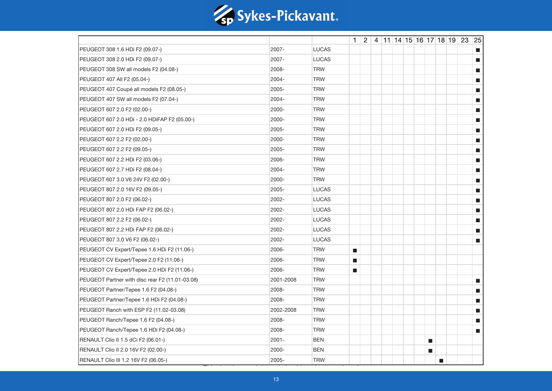

|                                                 |           |              |                             |  |  |  |                  |   | $1 \mid 2 \mid 4 \mid 11 \mid 14 \mid 15 \mid 16 \mid 17 \mid 18 \mid 19 \mid 23 \mid 25$ |                             |
|-------------------------------------------------|-----------|--------------|-----------------------------|--|--|--|------------------|---|-------------------------------------------------------------------------------------------|-----------------------------|
| PEUGEOT 308 1.6 HDi F2 (09.07-)                 | 2007-     | <b>LUCAS</b> |                             |  |  |  |                  |   |                                                                                           | П                           |
| PEUGEOT 308 2.0 HDi F2 (09.07-)                 | 2007-     | <b>LUCAS</b> |                             |  |  |  |                  |   |                                                                                           | П                           |
| PEUGEOT 308 SW all models F2 (04.08-)           | 2008-     | <b>TRW</b>   |                             |  |  |  |                  |   |                                                                                           | a.                          |
| PEUGEOT 407 All F2 (05.04-)                     | 2004-     | <b>TRW</b>   |                             |  |  |  |                  |   |                                                                                           | $\blacksquare$              |
| PEUGEOT 407 Coupé all models F2 (08.05-)        | 2005-     | <b>TRW</b>   |                             |  |  |  |                  |   |                                                                                           | П                           |
| PEUGEOT 407 SW all models F2 (07.04-)           | 2004-     | <b>TRW</b>   |                             |  |  |  |                  |   |                                                                                           | П                           |
| PEUGEOT 607 2.0 F2 (02.00-)                     | 2000-     | <b>TRW</b>   |                             |  |  |  |                  |   |                                                                                           | a.                          |
| PEUGEOT 607 2.0 HDi - 2.0 HDIFAP F2 (05.00-)    | 2000-     | <b>TRW</b>   |                             |  |  |  |                  |   |                                                                                           | m.                          |
| PEUGEOT 607 2.0 HDi F2 (09.05-)                 | 2005-     | <b>TRW</b>   |                             |  |  |  |                  |   |                                                                                           | П                           |
| PEUGEOT 607 2.2 F2 (02.00-)                     | 2000-     | <b>TRW</b>   |                             |  |  |  |                  |   |                                                                                           | П                           |
| PEUGEOT 607 2.2 F2 (09.05-)                     | 2005-     | <b>TRW</b>   |                             |  |  |  |                  |   |                                                                                           | П                           |
| PEUGEOT 607 2.2 HDi F2 (03.06-)                 | 2006-     | <b>TRW</b>   |                             |  |  |  |                  |   |                                                                                           | a.                          |
| PEUGEOT 607 2.7 HDi F2 (08.04-)                 | 2004-     | <b>TRW</b>   |                             |  |  |  |                  |   |                                                                                           | П                           |
| PEUGEOT 607 3.0 V6 24V F2 (02.00-)              | 2000-     | <b>TRW</b>   |                             |  |  |  |                  |   |                                                                                           | П                           |
| PEUGEOT 807 2.0 16V F2 (09.05-)                 | 2005-     | <b>LUCAS</b> |                             |  |  |  |                  |   |                                                                                           | $\blacksquare$              |
| PEUGEOT 807 2.0 F2 (06.02-)                     | 2002-     | <b>LUCAS</b> |                             |  |  |  |                  |   |                                                                                           | П                           |
| PEUGEOT 807 2.0 HDi FAP F2 (06.02-)             | 2002-     | <b>LUCAS</b> |                             |  |  |  |                  |   |                                                                                           | П                           |
| PEUGEOT 807 2.2 F2 (06.02-)                     | 2002-     | <b>LUCAS</b> |                             |  |  |  |                  |   |                                                                                           | $\mathcal{L}_{\mathcal{A}}$ |
| PEUGEOT 807 2.2 HDi FAP F2 (06.02-)             | 2002-     | <b>LUCAS</b> |                             |  |  |  |                  |   |                                                                                           | П                           |
| PEUGEOT 807 3.0 V6 F2 (06.02-)                  | 2002-     | <b>LUCAS</b> |                             |  |  |  |                  |   |                                                                                           | $\blacksquare$              |
| PEUGEOT CV Expert/Tepee 1.6 HDi F2 (11.06-)     | 2006-     | <b>TRW</b>   | $\mathcal{L}_{\mathcal{A}}$ |  |  |  |                  |   |                                                                                           |                             |
| PEUGEOT CV Expert/Tepee 2.0 F2 (11.06-)         | 2006-     | <b>TRW</b>   | $\blacksquare$              |  |  |  |                  |   |                                                                                           |                             |
| PEUGEOT CV Expert/Tepee 2.0 HDi F2 (11.06-)     | 2006-     | <b>TRW</b>   | $\blacksquare$              |  |  |  |                  |   |                                                                                           |                             |
| PEUGEOT Partner with disc rear F2 (11.01-03.08) | 2001-2008 | <b>TRW</b>   |                             |  |  |  |                  |   |                                                                                           | $\mathbb{R}^3$              |
| PEUGEOT Partner/Tepee 1.6 F2 (04.08-)           | 2008-     | <b>TRW</b>   |                             |  |  |  |                  |   |                                                                                           | П                           |
| PEUGEOT Partner/Tepee 1.6 HDi F2 (04.08-)       | 2008-     | <b>TRW</b>   |                             |  |  |  |                  |   |                                                                                           | a.                          |
| PEUGEOT Ranch with ESP F2 (11.02-03.08)         | 2002-2008 | <b>TRW</b>   |                             |  |  |  |                  |   |                                                                                           | П                           |
| PEUGEOT Ranch/Tepee 1.6 F2 (04.08-)             | 2008-     | <b>TRW</b>   |                             |  |  |  |                  |   |                                                                                           | <b>The State</b>            |
| PEUGEOT Ranch/Tepee 1.6 HDi F2 (04.08-)         | 2008-     | <b>TRW</b>   |                             |  |  |  |                  |   |                                                                                           | $\blacksquare$              |
| RENAULT Clio II 1.5 dCi F2 (06.01-)             | 2001-     | <b>BEN</b>   |                             |  |  |  | <b>The State</b> |   |                                                                                           |                             |
| RENAULT Clio II 2.0 16V F2 (02.00-)             | 2000-     | <b>BEN</b>   |                             |  |  |  | $\blacksquare$   |   |                                                                                           |                             |
| RENAULT Clio III 1.2 16V F2 (06.05-)            | 2005-     | <b>TRW</b>   |                             |  |  |  |                  | П |                                                                                           |                             |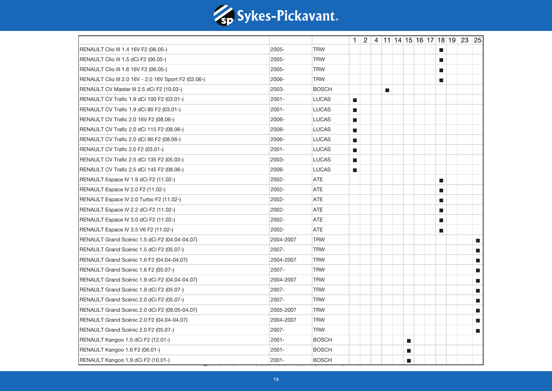

|                                                      |           |              |                             |  |                             |                             |  |                             | $1 \mid 2 \mid 4 \mid 11 \mid 14 \mid 15 \mid 16 \mid 17 \mid 18 \mid 19 \mid 23 \mid 25$ |                |
|------------------------------------------------------|-----------|--------------|-----------------------------|--|-----------------------------|-----------------------------|--|-----------------------------|-------------------------------------------------------------------------------------------|----------------|
| RENAULT Clio III 1.4 16V F2 (06.05-)                 | 2005-     | <b>TRW</b>   |                             |  |                             |                             |  | <b>D</b>                    |                                                                                           |                |
| RENAULT Clio III 1.5 dCi F2 (06.05-)                 | 2005-     | <b>TRW</b>   |                             |  |                             |                             |  | П                           |                                                                                           |                |
| RENAULT Clio III 1.6 16V F2 (06.05-)                 | 2005-     | <b>TRW</b>   |                             |  |                             |                             |  | П                           |                                                                                           |                |
| RENAULT Clio III 2.0 16V - 2.0 16V Sport F2 (02.06-) | 2006-     | <b>TRW</b>   |                             |  |                             |                             |  | ш                           |                                                                                           |                |
| RENAULT CV Master III 2.5 dCi F2 (10.03-)            | 2003-     | <b>BOSCH</b> |                             |  | $\mathcal{L}_{\mathcal{A}}$ |                             |  |                             |                                                                                           |                |
| RENAULT CV Trafic 1.9 dCi 100 F2 (03.01-)            | 2001-     | <b>LUCAS</b> | $\blacksquare$              |  |                             |                             |  |                             |                                                                                           |                |
| RENAULT CV Trafic 1.9 dCi 80 F2 (03.01-)             | 2001-     | <b>LUCAS</b> | $\mathcal{L}_{\mathcal{A}}$ |  |                             |                             |  |                             |                                                                                           |                |
| RENAULT CV Trafic 2.0 16V F2 (08.06-)                | 2006-     | <b>LUCAS</b> | $\mathcal{L}_{\mathcal{A}}$ |  |                             |                             |  |                             |                                                                                           |                |
| RENAULT CV Trafic 2.0 dCi 115 F2 (08.06-)            | 2006-     | <b>LUCAS</b> | $\blacksquare$              |  |                             |                             |  |                             |                                                                                           |                |
| RENAULT CV Trafic 2.0 dCi 90 F2 (08.06-)             | 2006-     | <b>LUCAS</b> | $\blacksquare$              |  |                             |                             |  |                             |                                                                                           |                |
| RENAULT CV Trafic 2.0 F2 (03.01-)                    | 2001-     | <b>LUCAS</b> | $\blacksquare$              |  |                             |                             |  |                             |                                                                                           |                |
| RENAULT CV Trafic 2.5 dCi 135 F2 (05.03-)            | 2003-     | <b>LUCAS</b> | $\blacksquare$              |  |                             |                             |  |                             |                                                                                           |                |
| RENAULT CV Trafic 2.5 dCi 145 F2 (08.06-)            | 2006-     | <b>LUCAS</b> | $\mathcal{L}_{\mathcal{A}}$ |  |                             |                             |  |                             |                                                                                           |                |
| RENAULT Espace IV 1.9 dCi F2 (11.02-)                | 2002-     | <b>ATE</b>   |                             |  |                             |                             |  | ш                           |                                                                                           |                |
| RENAULT Espace IV 2.0 F2 (11.02-)                    | 2002-     | <b>ATE</b>   |                             |  |                             |                             |  | П                           |                                                                                           |                |
| RENAULT Espace IV 2.0 Turbo F2 (11.02-)              | 2002-     | <b>ATE</b>   |                             |  |                             |                             |  | П                           |                                                                                           |                |
| RENAULT Espace IV 2.2 dCi F2 (11.02-)                | 2002-     | <b>ATE</b>   |                             |  |                             |                             |  | П                           |                                                                                           |                |
| RENAULT Espace IV 3.0 dCi F2 (11.02-)                | 2002-     | <b>ATE</b>   |                             |  |                             |                             |  | $\mathcal{L}_{\mathcal{A}}$ |                                                                                           |                |
| RENAULT Espace IV 3.5 V6 F2 (11.02-)                 | 2002-     | <b>ATE</b>   |                             |  |                             |                             |  | П                           |                                                                                           |                |
| RENAULT Grand Scénic 1.5 dCi F2 (04.04-04.07)        | 2004-2007 | <b>TRW</b>   |                             |  |                             |                             |  |                             |                                                                                           | $\blacksquare$ |
| RENAULT Grand Scénic 1.5 dCi F2 (05.07-)             | 2007-     | <b>TRW</b>   |                             |  |                             |                             |  |                             |                                                                                           | $\blacksquare$ |
| RENAULT Grand Scénic 1.6 F2 (04.04-04.07)            | 2004-2007 | <b>TRW</b>   |                             |  |                             |                             |  |                             |                                                                                           | a.             |
| RENAULT Grand Scénic 1.6 F2 (05.07-)                 | 2007-     | <b>TRW</b>   |                             |  |                             |                             |  |                             |                                                                                           | $\blacksquare$ |
| RENAULT Grand Scénic 1.9 dCi F2 (04.04-04.07)        | 2004-2007 | <b>TRW</b>   |                             |  |                             |                             |  |                             |                                                                                           | П              |
| RENAULT Grand Scénic 1.9 dCi F2 (05.07-)             | 2007-     | <b>TRW</b>   |                             |  |                             |                             |  |                             |                                                                                           | a.             |
| RENAULT Grand Scénic 2.0 dCi F2 (05.07-)             | 2007-     | <b>TRW</b>   |                             |  |                             |                             |  |                             |                                                                                           | a.             |
| RENAULT Grand Scénic 2.0 dCi F2 (09.05-04.07)        | 2005-2007 | <b>TRW</b>   |                             |  |                             |                             |  |                             |                                                                                           | П              |
| RENAULT Grand Scénic 2.0 F2 (04.04-04.07)            | 2004-2007 | <b>TRW</b>   |                             |  |                             |                             |  |                             |                                                                                           | $\blacksquare$ |
| RENAULT Grand Scénic 2.0 F2 (05.07-)                 | 2007-     | <b>TRW</b>   |                             |  |                             |                             |  |                             |                                                                                           | $\blacksquare$ |
| RENAULT Kangoo 1.5 dCi F2 (12.01-)                   | 2001-     | <b>BOSCH</b> |                             |  |                             | $\mathcal{L}_{\mathcal{A}}$ |  |                             |                                                                                           |                |
| RENAULT Kangoo 1.6 F2 (06.01-)                       | 2001-     | <b>BOSCH</b> |                             |  |                             | $\mathcal{L}_{\mathcal{A}}$ |  |                             |                                                                                           |                |
| RENAULT Kangoo 1.9 dCi F2 (10.01-)                   | 2001-     | <b>BOSCH</b> |                             |  |                             | $\blacksquare$              |  |                             |                                                                                           |                |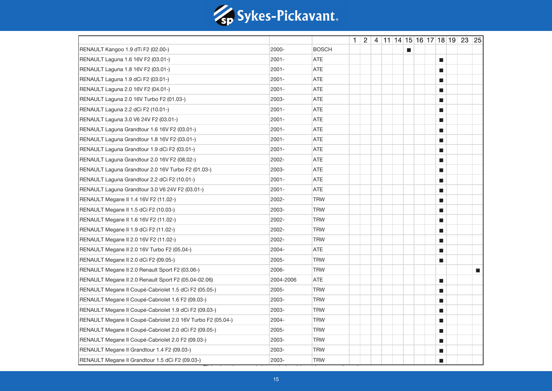

|                                                             |           |              |  |  |                |  |                             | $1 \mid 2 \mid 4 \mid 11 \mid 14 \mid 15 \mid 16 \mid 17 \mid 18 \mid 19 \mid 23 \mid 25$ |                |
|-------------------------------------------------------------|-----------|--------------|--|--|----------------|--|-----------------------------|-------------------------------------------------------------------------------------------|----------------|
| RENAULT Kangoo 1.9 dTi F2 (02.00-)                          | 2000-     | <b>BOSCH</b> |  |  | $\blacksquare$ |  |                             |                                                                                           |                |
| RENAULT Laguna 1.6 16V F2 (03.01-)                          | $2001 -$  | ATE          |  |  |                |  | $\mathcal{L}_{\mathcal{A}}$ |                                                                                           |                |
| RENAULT Laguna 1.8 16V F2 (03.01-)                          | $2001 -$  | <b>ATE</b>   |  |  |                |  | ш                           |                                                                                           |                |
| RENAULT Laguna 1.9 dCi F2 (03.01-)                          | $2001 -$  | <b>ATE</b>   |  |  |                |  | $\blacksquare$              |                                                                                           |                |
| RENAULT Laguna 2.0 16V F2 (04.01-)                          | $2001 -$  | <b>ATE</b>   |  |  |                |  | П                           |                                                                                           |                |
| RENAULT Laguna 2.0 16V Turbo F2 (01.03-)                    | 2003-     | ATE          |  |  |                |  | П                           |                                                                                           |                |
| RENAULT Laguna 2.2 dCi F2 (10.01-)                          | $2001 -$  | <b>ATE</b>   |  |  |                |  | $\mathcal{L}_{\mathcal{A}}$ |                                                                                           |                |
| RENAULT Laguna 3.0 V6 24V F2 (03.01-)                       | $2001 -$  | <b>ATE</b>   |  |  |                |  | П                           |                                                                                           |                |
| RENAULT Laguna Grandtour 1.6 16V F2 (03.01-)                | 2001-     | <b>ATE</b>   |  |  |                |  | П                           |                                                                                           |                |
| RENAULT Laguna Grandtour 1.8 16V F2 (03.01-)                | $2001 -$  | <b>ATE</b>   |  |  |                |  | П                           |                                                                                           |                |
| RENAULT Laguna Grandtour 1.9 dCi F2 (03.01-)                | $2001 -$  | ATE          |  |  |                |  | ш                           |                                                                                           |                |
| RENAULT Laguna Grandtour 2.0 16V F2 (08.02-)                | 2002-     | ATE          |  |  |                |  | ш                           |                                                                                           |                |
| RENAULT Laguna Grandtour 2.0 16V Turbo F2 (01.03-)          | 2003-     | <b>ATE</b>   |  |  |                |  | $\blacksquare$              |                                                                                           |                |
| RENAULT Laguna Grandtour 2.2 dCi F2 (10.01-)                | 2001-     | ATE          |  |  |                |  | П                           |                                                                                           |                |
| RENAULT Laguna Grandtour 3.0 V6 24V F2 (03.01-)             | $2001 -$  | ATE          |  |  |                |  | $\mathcal{L}_{\mathcal{A}}$ |                                                                                           |                |
| RENAULT Megane II 1.4 16V F2 (11.02-)                       | 2002-     | <b>TRW</b>   |  |  |                |  | $\mathcal{L}_{\mathcal{A}}$ |                                                                                           |                |
| RENAULT Megane II 1.5 dCi F2 (10.03-)                       | 2003-     | <b>TRW</b>   |  |  |                |  | $\blacksquare$              |                                                                                           |                |
| RENAULT Megane II 1.6 16V F2 (11.02-)                       | 2002-     | <b>TRW</b>   |  |  |                |  | П                           |                                                                                           |                |
| RENAULT Megane II 1.9 dCi F2 (11.02-)                       | 2002-     | <b>TRW</b>   |  |  |                |  | П                           |                                                                                           |                |
| RENAULT Megane II 2.0 16V F2 (11.02-)                       | 2002-     | <b>TRW</b>   |  |  |                |  | ш                           |                                                                                           |                |
| RENAULT Megane II 2.0 16V Turbo F2 (05.04-)                 | 2004-     | <b>ATE</b>   |  |  |                |  | П                           |                                                                                           |                |
| RENAULT Megane II 2.0 dCi F2 (09.05-)                       | 2005-     | <b>TRW</b>   |  |  |                |  | П                           |                                                                                           |                |
| RENAULT Megane II 2.0 Renault Sport F2 (03.06-)             | 2006-     | <b>TRW</b>   |  |  |                |  |                             |                                                                                           | $\blacksquare$ |
| RENAULT Megane II 2.0 Renault Sport F2 (05.04-02.06)        | 2004-2006 | <b>ATE</b>   |  |  |                |  | П                           |                                                                                           |                |
| RENAULT Megane II Coupé-Cabriolet 1.5 dCi F2 (05.05-)       | 2005-     | <b>TRW</b>   |  |  |                |  | ш                           |                                                                                           |                |
| RENAULT Megane II Coupé-Cabriolet 1.6 F2 (09.03-)           | 2003-     | <b>TRW</b>   |  |  |                |  | П                           |                                                                                           |                |
| RENAULT Megane II Coupé-Cabriolet 1.9 dCi F2 (09.03-)       | 2003-     | <b>TRW</b>   |  |  |                |  | П                           |                                                                                           |                |
| RENAULT Megane II Coupé-Cabriolet 2.0 16V Turbo F2 (05.04-) | 2004-     | <b>TRW</b>   |  |  |                |  | $\mathcal{L}_{\mathcal{A}}$ |                                                                                           |                |
| RENAULT Megane II Coupé-Cabriolet 2.0 dCi F2 (09.05-)       | 2005-     | <b>TRW</b>   |  |  |                |  | $\mathcal{L}_{\mathcal{A}}$ |                                                                                           |                |
| RENAULT Megane II Coupé-Cabriolet 2.0 F2 (09.03-)           | 2003-     | <b>TRW</b>   |  |  |                |  | $\blacksquare$              |                                                                                           |                |
| RENAULT Megane II Grandtour 1.4 F2 (09.03-)                 | 2003-     | <b>TRW</b>   |  |  |                |  | П                           |                                                                                           |                |
| RENAULT Megane II Grandtour 1.5 dCi F2 (09.03-)             | 2003-     | <b>TRW</b>   |  |  |                |  | П                           |                                                                                           |                |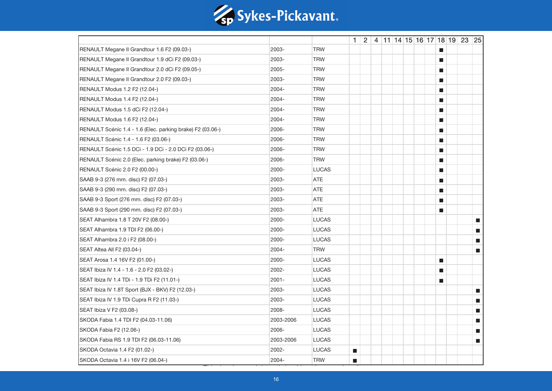

|                                                            |           |              |                             |  |  |  |                             | $1 \mid 2 \mid 4 \mid 11 \mid 14 \mid 15 \mid 16 \mid 17 \mid 18 \mid 19 \mid 23 \mid 25$ |                             |
|------------------------------------------------------------|-----------|--------------|-----------------------------|--|--|--|-----------------------------|-------------------------------------------------------------------------------------------|-----------------------------|
| RENAULT Megane II Grandtour 1.6 F2 (09.03-)                | 2003-     | <b>TRW</b>   |                             |  |  |  | <b>D</b>                    |                                                                                           |                             |
| RENAULT Megane II Grandtour 1.9 dCi F2 (09.03-)            | 2003-     | <b>TRW</b>   |                             |  |  |  | П                           |                                                                                           |                             |
| RENAULT Megane II Grandtour 2.0 dCi F2 (09.05-)            | 2005-     | <b>TRW</b>   |                             |  |  |  | П                           |                                                                                           |                             |
| RENAULT Megane II Grandtour 2.0 F2 (09.03-)                | 2003-     | <b>TRW</b>   |                             |  |  |  | ш                           |                                                                                           |                             |
| RENAULT Modus 1.2 F2 (12.04-)                              | 2004-     | <b>TRW</b>   |                             |  |  |  | ш                           |                                                                                           |                             |
| RENAULT Modus 1.4 F2 (12.04-)                              | 2004-     | <b>TRW</b>   |                             |  |  |  | П                           |                                                                                           |                             |
| RENAULT Modus 1.5 dCi F2 (12.04-)                          | 2004-     | <b>TRW</b>   |                             |  |  |  | П                           |                                                                                           |                             |
| RENAULT Modus 1.6 F2 (12.04-)                              | 2004-     | <b>TRW</b>   |                             |  |  |  | П                           |                                                                                           |                             |
| RENAULT Scénic 1.4 - 1.6 (Elec. parking brake) F2 (03.06-) | 2006-     | <b>TRW</b>   |                             |  |  |  | $\mathbf{r}$                |                                                                                           |                             |
| RENAULT Scénic 1.4 - 1.6 F2 (03.06-)                       | 2006-     | <b>TRW</b>   |                             |  |  |  | $\blacksquare$              |                                                                                           |                             |
| RENAULT Scénic 1.5 DCi - 1.9 DCi - 2.0 DCi F2 (03.06-)     | 2006-     | <b>TRW</b>   |                             |  |  |  | П                           |                                                                                           |                             |
| RENAULT Scénic 2.0 (Elec. parking brake) F2 (03.06-)       | 2006-     | <b>TRW</b>   |                             |  |  |  | П                           |                                                                                           |                             |
| RENAULT Scénic 2.0 F2 (00.00-)                             | 2000-     | <b>LUCAS</b> |                             |  |  |  | $\mathcal{L}_{\mathcal{A}}$ |                                                                                           |                             |
| SAAB 9-3 (276 mm. disc) F2 (07.03-)                        | 2003-     | <b>ATE</b>   |                             |  |  |  | ш                           |                                                                                           |                             |
| SAAB 9-3 (290 mm. disc) F2 (07.03-)                        | 2003-     | <b>ATE</b>   |                             |  |  |  | П                           |                                                                                           |                             |
| SAAB 9-3 Sport (276 mm. disc) F2 (07.03-)                  | 2003-     | <b>ATE</b>   |                             |  |  |  | П                           |                                                                                           |                             |
| SAAB 9-3 Sport (290 mm. disc) F2 (07.03-)                  | 2003-     | <b>ATE</b>   |                             |  |  |  | П                           |                                                                                           |                             |
| SEAT Alhambra 1.8 T 20V F2 (08.00-)                        | 2000-     | <b>LUCAS</b> |                             |  |  |  |                             |                                                                                           | $\mathcal{L}_{\mathcal{A}}$ |
| SEAT Alhambra 1.9 TDI F2 (06.00-)                          | 2000-     | <b>LUCAS</b> |                             |  |  |  |                             |                                                                                           | П                           |
| SEAT Alhambra 2.0 i F2 (08.00-)                            | 2000-     | <b>LUCAS</b> |                             |  |  |  |                             |                                                                                           | a.                          |
| SEAT Altea All F2 (03.04-)                                 | 2004-     | <b>TRW</b>   |                             |  |  |  |                             |                                                                                           | $\blacksquare$              |
| SEAT Arosa 1.4 16V F2 (01.00-)                             | 2000-     | <b>LUCAS</b> |                             |  |  |  | П                           |                                                                                           |                             |
| SEAT Ibiza IV 1.4 - 1.6 - 2.0 F2 (03.02-)                  | 2002-     | <b>LUCAS</b> |                             |  |  |  | ш                           |                                                                                           |                             |
| SEAT Ibiza IV 1.4 TDi - 1.9 TDi F2 (11.01-)                | 2001-     | <b>LUCAS</b> |                             |  |  |  | $\blacksquare$              |                                                                                           |                             |
| SEAT Ibiza IV 1.8T Sport (BJX - BKV) F2 (12.03-)           | 2003-     | <b>LUCAS</b> |                             |  |  |  |                             |                                                                                           | П                           |
| SEAT Ibiza IV 1.9 TDi Cupra R F2 (11.03-)                  | 2003-     | <b>LUCAS</b> |                             |  |  |  |                             |                                                                                           | a.                          |
| SEAT Ibiza V F2 (03.08-)                                   | 2008-     | <b>LUCAS</b> |                             |  |  |  |                             |                                                                                           | П                           |
| SKODA Fabia 1.4 TDI F2 (04.03-11.06)                       | 2003-2006 | <b>LUCAS</b> |                             |  |  |  |                             |                                                                                           | П                           |
| SKODA Fabia F2 (12.06-)                                    | 2006-     | <b>LUCAS</b> |                             |  |  |  |                             |                                                                                           | $\blacksquare$              |
| SKODA Fabia RS 1.9 TDI F2 (06.03-11.06)                    | 2003-2006 | <b>LUCAS</b> |                             |  |  |  |                             |                                                                                           | П                           |
| SKODA Octavia 1.4 F2 (01.02-)                              | 2002-     | <b>LUCAS</b> | $\mathcal{L}_{\mathcal{A}}$ |  |  |  |                             |                                                                                           |                             |
| SKODA Octavia 1.4 i 16V F2 (06.04-)                        | 2004-     | <b>TRW</b>   | $\mathcal{L}_{\mathcal{A}}$ |  |  |  |                             |                                                                                           |                             |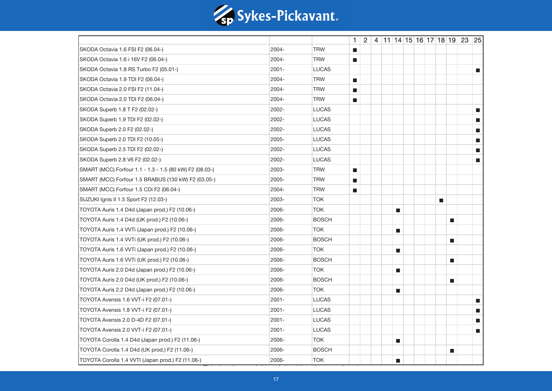

|                                                         |          |              |                             |  |                             |  |                             | $1 \mid 2 \mid 4 \mid 11 \mid 14 \mid 15 \mid 16 \mid 17 \mid 18 \mid 19 \mid 23 \mid 25$ |                             |
|---------------------------------------------------------|----------|--------------|-----------------------------|--|-----------------------------|--|-----------------------------|-------------------------------------------------------------------------------------------|-----------------------------|
| SKODA Octavia 1.6 FSI F2 (06.04-)                       | 2004-    | <b>TRW</b>   | $\mathcal{L}_{\mathcal{A}}$ |  |                             |  |                             |                                                                                           |                             |
| SKODA Octavia 1.6 i 16V F2 (06.04-)                     | 2004-    | <b>TRW</b>   | $\mathcal{L}_{\mathcal{A}}$ |  |                             |  |                             |                                                                                           |                             |
| SKODA Octavia 1.8 RS Turbo F2 (05.01-)                  | 2001-    | LUCAS        |                             |  |                             |  |                             |                                                                                           | $\blacksquare$              |
| SKODA Octavia 1.9 TDI F2 (06.04-)                       | 2004-    | <b>TRW</b>   | $\mathcal{L}_{\mathcal{A}}$ |  |                             |  |                             |                                                                                           |                             |
| SKODA Octavia 2.0 FSI F2 (11.04-)                       | 2004-    | <b>TRW</b>   | $\mathcal{L}_{\mathcal{A}}$ |  |                             |  |                             |                                                                                           |                             |
| SKODA Octavia 2.0 TDI F2 (06.04-)                       | 2004-    | <b>TRW</b>   | $\mathcal{L}_{\mathcal{A}}$ |  |                             |  |                             |                                                                                           |                             |
| SKODA Superb 1.8 T F2 (02.02-)                          | 2002-    | <b>LUCAS</b> |                             |  |                             |  |                             |                                                                                           | $\mathcal{L}_{\mathcal{A}}$ |
| SKODA Superb 1.9 TDI F2 (02.02-)                        | 2002-    | <b>LUCAS</b> |                             |  |                             |  |                             |                                                                                           | $\blacksquare$              |
| SKODA Superb 2.0 F2 (02.02-)                            | 2002-    | <b>LUCAS</b> |                             |  |                             |  |                             |                                                                                           | П                           |
| SKODA Superb 2.0 TDI F2 (10.05-)                        | 2005-    | <b>LUCAS</b> |                             |  |                             |  |                             |                                                                                           | П                           |
| SKODA Superb 2.5 TDI F2 (02.02-)                        | 2002-    | <b>LUCAS</b> |                             |  |                             |  |                             |                                                                                           | $\mathbb{R}^3$              |
| SKODA Superb 2.8 V6 F2 (02.02-)                         | 2002-    | <b>LUCAS</b> |                             |  |                             |  |                             |                                                                                           | $\blacksquare$              |
| SMART (MCC) Forfour 1.1 - 1.3 - 1.5 (80 kW) F2 (08.03-) | 2003-    | <b>TRW</b>   | $\mathcal{L}_{\mathcal{A}}$ |  |                             |  |                             |                                                                                           |                             |
| SMART (MCC) Forfour 1.5 BRABUS (130 kW) F2 (03.05-)     | 2005-    | <b>TRW</b>   | $\mathcal{L}_{\mathcal{A}}$ |  |                             |  |                             |                                                                                           |                             |
| SMART (MCC) Forfour 1.5 CDi F2 (06.04-)                 | 2004-    | <b>TRW</b>   | $\mathcal{L}_{\mathcal{A}}$ |  |                             |  |                             |                                                                                           |                             |
| SUZUKI Ignis II 1.5 Sport F2 (12.03-)                   | 2003-    | <b>TOK</b>   |                             |  |                             |  | $\mathcal{L}_{\mathcal{A}}$ |                                                                                           |                             |
| TOYOTA Auris 1.4 D4d (Japan prod.) F2 (10.06-)          | 2006-    | <b>TOK</b>   |                             |  | $\blacksquare$              |  |                             |                                                                                           |                             |
| TOYOTA Auris 1.4 D4d (UK prod.) F2 (10.06-)             | 2006-    | <b>BOSCH</b> |                             |  |                             |  |                             | П                                                                                         |                             |
| TOYOTA Auris 1.4 VVTi (Japan prod.) F2 (10.06-)         | 2006-    | <b>TOK</b>   |                             |  | $\blacksquare$              |  |                             |                                                                                           |                             |
| TOYOTA Auris 1.4 VVTi (UK prod.) F2 (10.06-)            | 2006-    | <b>BOSCH</b> |                             |  |                             |  |                             | $\mathcal{L}_{\mathcal{A}}$                                                               |                             |
| TOYOTA Auris 1.6 VVTi (Japan prod.) F2 (10.06-)         | 2006-    | <b>TOK</b>   |                             |  | $\mathcal{L}_{\mathcal{A}}$ |  |                             |                                                                                           |                             |
| TOYOTA Auris 1.6 VVTi (UK prod.) F2 (10.06-)            | 2006-    | <b>BOSCH</b> |                             |  |                             |  |                             | $\mathcal{L}_{\mathcal{A}}$                                                               |                             |
| TOYOTA Auris 2.0 D4d (Japan prod.) F2 (10.06-)          | 2006-    | <b>TOK</b>   |                             |  | $\blacksquare$              |  |                             |                                                                                           |                             |
| TOYOTA Auris 2.0 D4d (UK prod.) F2 (10.06-)             | 2006-    | <b>BOSCH</b> |                             |  |                             |  |                             | п                                                                                         |                             |
| TOYOTA Auris 2.2 D4d (Japan prod.) F2 (10.06-)          | 2006-    | <b>TOK</b>   |                             |  | <b>The State</b>            |  |                             |                                                                                           |                             |
| TOYOTA Avensis 1.6 VVT-i F2 (07.01-)                    | 2001-    | <b>LUCAS</b> |                             |  |                             |  |                             |                                                                                           | П                           |
| TOYOTA Avensis 1.8 VVT-i F2 (07.01-)                    | 2001-    | <b>LUCAS</b> |                             |  |                             |  |                             |                                                                                           | П                           |
| TOYOTA Avensis 2.0 D-4D F2 (07.01-)                     | $2001 -$ | <b>LUCAS</b> |                             |  |                             |  |                             |                                                                                           | П                           |
| TOYOTA Avensis 2.0 VVT-i F2 (07.01-)                    | 2001-    | <b>LUCAS</b> |                             |  |                             |  |                             |                                                                                           | $\blacksquare$              |
| TOYOTA Corolla 1.4 D4d (Japan prod.) F2 (11.06-)        | 2006-    | <b>TOK</b>   |                             |  | $\blacksquare$              |  |                             |                                                                                           |                             |
| TOYOTA Corolla 1.4 D4d (UK prod.) F2 (11.06-)           | 2006-    | <b>BOSCH</b> |                             |  |                             |  |                             | ш                                                                                         |                             |
| TOYOTA Corolla 1.4 VVTI (Japan prod.) F2 (11.06-)       | 2006-    | <b>TOK</b>   |                             |  | $\blacksquare$              |  |                             |                                                                                           |                             |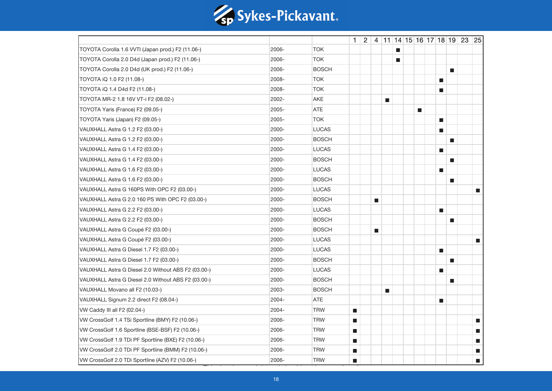

|                                                     |       |              |                             |                             |                |                          |                             |                             |                             | $1 \mid 2 \mid 4 \mid 11 \mid 14 \mid 15 \mid 16 \mid 17 \mid 18 \mid 19 \mid 23 \mid 25$ |                             |
|-----------------------------------------------------|-------|--------------|-----------------------------|-----------------------------|----------------|--------------------------|-----------------------------|-----------------------------|-----------------------------|-------------------------------------------------------------------------------------------|-----------------------------|
| TOYOTA Corolla 1.6 VVTI (Japan prod.) F2 (11.06-)   | 2006- | <b>TOK</b>   |                             |                             |                | П                        |                             |                             |                             |                                                                                           |                             |
| TOYOTA Corolla 2.0 D4d (Japan prod.) F2 (11.06-)    | 2006- | <b>TOK</b>   |                             |                             |                | $\overline{\phantom{a}}$ |                             |                             |                             |                                                                                           |                             |
| TOYOTA Corolla 2.0 D4d (UK prod.) F2 (11.06-)       | 2006- | <b>BOSCH</b> |                             |                             |                |                          |                             |                             | ш                           |                                                                                           |                             |
| TOYOTA iQ 1.0 F2 (11.08-)                           | 2008- | <b>TOK</b>   |                             |                             |                |                          |                             | ш                           |                             |                                                                                           |                             |
| TOYOTA iQ 1.4 D4d F2 (11.08-)                       | 2008- | <b>TOK</b>   |                             |                             |                |                          |                             | <b>The State</b>            |                             |                                                                                           |                             |
| TOYOTA MR-2 1.8 16V VT-i F2 (08.02-)                | 2002- | AKE          |                             |                             | $\blacksquare$ |                          |                             |                             |                             |                                                                                           |                             |
| TOYOTA Yaris (France) F2 (09.05-)                   | 2005- | <b>ATE</b>   |                             |                             |                |                          | $\mathcal{L}_{\mathcal{A}}$ |                             |                             |                                                                                           |                             |
| TOYOTA Yaris (Japan) F2 (09.05-)                    | 2005- | <b>TOK</b>   |                             |                             |                |                          |                             | $\mathcal{L}_{\mathcal{A}}$ |                             |                                                                                           |                             |
| VAUXHALL Astra G 1.2 F2 (03.00-)                    | 2000- | <b>LUCAS</b> |                             |                             |                |                          |                             | П                           |                             |                                                                                           |                             |
| VAUXHALL Astra G 1.2 F2 (03.00-)                    | 2000- | <b>BOSCH</b> |                             |                             |                |                          |                             |                             | $\blacksquare$              |                                                                                           |                             |
| VAUXHALL Astra G 1.4 F2 (03.00-)                    | 2000- | <b>LUCAS</b> |                             |                             |                |                          |                             | П                           |                             |                                                                                           |                             |
| VAUXHALL Astra G 1.4 F2 (03.00-)                    | 2000- | <b>BOSCH</b> |                             |                             |                |                          |                             |                             | п                           |                                                                                           |                             |
| VAUXHALL Astra G 1.6 F2 (03.00-)                    | 2000- | <b>LUCAS</b> |                             |                             |                |                          |                             | П                           |                             |                                                                                           |                             |
| VAUXHALL Astra G 1.6 F2 (03.00-)                    | 2000- | <b>BOSCH</b> |                             |                             |                |                          |                             |                             | П                           |                                                                                           |                             |
| VAUXHALL Astra G 160PS With OPC F2 (03.00-)         | 2000- | <b>LUCAS</b> |                             |                             |                |                          |                             |                             |                             |                                                                                           | $\blacksquare$              |
| VAUXHALL Astra G 2.0 160 PS With OPC F2 (03.00-)    | 2000- | <b>BOSCH</b> |                             | $\mathcal{L}_{\mathcal{A}}$ |                |                          |                             |                             |                             |                                                                                           |                             |
| VAUXHALL Astra G 2.2 F2 (03.00-)                    | 2000- | <b>LUCAS</b> |                             |                             |                |                          |                             | $\blacksquare$              |                             |                                                                                           |                             |
| VAUXHALL Astra G 2.2 F2 (03.00-)                    | 2000- | <b>BOSCH</b> |                             |                             |                |                          |                             |                             | $\mathcal{L}_{\mathcal{A}}$ |                                                                                           |                             |
| VAUXHALL Astra G Coupé F2 (03.00-)                  | 2000- | <b>BOSCH</b> |                             | $\blacksquare$              |                |                          |                             |                             |                             |                                                                                           |                             |
| VAUXHALL Astra G Coupé F2 (03.00-)                  | 2000- | <b>LUCAS</b> |                             |                             |                |                          |                             |                             |                             |                                                                                           | $\blacksquare$              |
| VAUXHALL Astra G Diesel 1.7 F2 (03.00-)             | 2000- | <b>LUCAS</b> |                             |                             |                |                          |                             | $\blacksquare$              |                             |                                                                                           |                             |
| VAUXHALL Astra G Diesel 1.7 F2 (03.00-)             | 2000- | <b>BOSCH</b> |                             |                             |                |                          |                             |                             | П                           |                                                                                           |                             |
| VAUXHALL Astra G Diesel 2.0 Without ABS F2 (03.00-) | 2000- | <b>LUCAS</b> |                             |                             |                |                          |                             | П                           |                             |                                                                                           |                             |
| VAUXHALL Astra G Diesel 2.0 Without ABS F2 (03.00-) | 2000- | <b>BOSCH</b> |                             |                             |                |                          |                             |                             | П                           |                                                                                           |                             |
| VAUXHALL Movano all F2 (10.03-)                     | 2003- | <b>BOSCH</b> |                             |                             | $\blacksquare$ |                          |                             |                             |                             |                                                                                           |                             |
| VAUXHALL Signum 2.2 direct F2 (08.04-)              | 2004- | <b>ATE</b>   |                             |                             |                |                          |                             | П                           |                             |                                                                                           |                             |
| VW Caddy III all F2 (02.04-)                        | 2004- | <b>TRW</b>   | $\mathcal{L}_{\mathcal{A}}$ |                             |                |                          |                             |                             |                             |                                                                                           |                             |
| VW CrossGolf 1.4 TSi Sportline (BMY) F2 (10.06-)    | 2006- | <b>TRW</b>   | $\blacksquare$              |                             |                |                          |                             |                             |                             |                                                                                           | $\mathcal{L}_{\mathcal{A}}$ |
| VW CrossGolf 1.6 Sportline (BSE-BSF) F2 (10.06-)    | 2006- | <b>TRW</b>   | $\mathcal{L}_{\mathcal{A}}$ |                             |                |                          |                             |                             |                             |                                                                                           | $\mathcal{L}_{\mathcal{A}}$ |
| VW CrossGolf 1.9 TDi PF Sportline (BXE) F2 (10.06-) | 2006- | <b>TRW</b>   | $\mathcal{L}_{\mathcal{A}}$ |                             |                |                          |                             |                             |                             |                                                                                           | П                           |
| VW CrossGolf 2.0 TDi PF Sportline (BMM) F2 (10.06-) | 2006- | <b>TRW</b>   | $\mathcal{L}_{\mathcal{A}}$ |                             |                |                          |                             |                             |                             |                                                                                           | П                           |
| VW CrossGolf 2.0 TDi Sportline (AZV) F2 (10.06-)    | 2006- | <b>TRW</b>   | $\mathcal{L}_{\mathcal{A}}$ |                             |                |                          |                             |                             |                             |                                                                                           | $\blacksquare$              |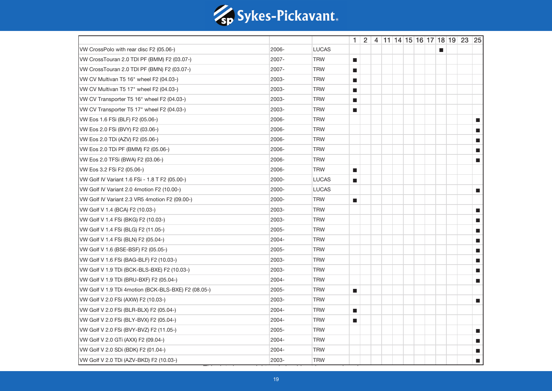

|                                                     |       |              |                             |  |  |  |   | $1 \mid 2 \mid 4 \mid 11 \mid 14 \mid 15 \mid 16 \mid 17 \mid 18 \mid 19 \mid 23 \mid 25$ |                             |
|-----------------------------------------------------|-------|--------------|-----------------------------|--|--|--|---|-------------------------------------------------------------------------------------------|-----------------------------|
| VW CrossPolo with rear disc F2 (05.06-)             | 2006- | <b>LUCAS</b> |                             |  |  |  | П |                                                                                           |                             |
| VW CrossTouran 2.0 TDI PF (BMM) F2 (03.07-)         | 2007- | <b>TRW</b>   | $\mathcal{L}_{\mathcal{A}}$ |  |  |  |   |                                                                                           |                             |
| VW CrossTouran 2.0 TDI PF (BMN) F2 (03.07-)         | 2007- | <b>TRW</b>   | $\mathcal{L}_{\mathcal{A}}$ |  |  |  |   |                                                                                           |                             |
| VW CV Multivan T5 16" wheel F2 (04.03-)             | 2003- | <b>TRW</b>   | $\mathcal{L}_{\mathcal{A}}$ |  |  |  |   |                                                                                           |                             |
| VW CV Multivan T5 17" wheel F2 (04.03-)             | 2003- | <b>TRW</b>   | $\mathcal{L}_{\mathcal{A}}$ |  |  |  |   |                                                                                           |                             |
| VW CV Transporter T5 16" wheel F2 (04.03-)          | 2003- | <b>TRW</b>   | $\mathcal{L}_{\mathcal{A}}$ |  |  |  |   |                                                                                           |                             |
| VW CV Transporter T5 17" wheel F2 (04.03-)          | 2003- | <b>TRW</b>   | $\mathcal{L}_{\mathcal{A}}$ |  |  |  |   |                                                                                           |                             |
| VW Eos 1.6 FSi (BLF) F2 (05.06-)                    | 2006- | <b>TRW</b>   |                             |  |  |  |   |                                                                                           | $\blacksquare$              |
| VW Eos 2.0 FSi (BVY) F2 (03.06-)                    | 2006- | <b>TRW</b>   |                             |  |  |  |   |                                                                                           | П                           |
| VW Eos 2.0 TDi (AZV) F2 (05.06-)                    | 2006- | <b>TRW</b>   |                             |  |  |  |   |                                                                                           | П                           |
| VW Eos 2.0 TDi PF (BMM) F2 (05.06-)                 | 2006- | <b>TRW</b>   |                             |  |  |  |   |                                                                                           | $\mathcal{L}_{\mathcal{A}}$ |
| VW Eos 2.0 TFSi (BWA) F2 (03.06-)                   | 2006- | <b>TRW</b>   |                             |  |  |  |   |                                                                                           | П                           |
| VW Eos 3.2 FSi F2 (05.06-)                          | 2006- | <b>TRW</b>   | $\mathcal{L}_{\mathcal{A}}$ |  |  |  |   |                                                                                           |                             |
| VW Golf IV Variant 1.6 FSi - 1.8 T F2 (05.00-)      | 2000- | <b>LUCAS</b> | $\mathcal{L}_{\mathcal{A}}$ |  |  |  |   |                                                                                           |                             |
| VW Golf IV Variant 2.0 4motion F2 (10.00-)          | 2000- | <b>LUCAS</b> |                             |  |  |  |   |                                                                                           | П                           |
| VW Golf IV Variant 2.3 VR5 4motion F2 (09.00-)      | 2000- | <b>TRW</b>   | $\mathcal{L}_{\mathcal{A}}$ |  |  |  |   |                                                                                           |                             |
| VW Golf V 1.4 (BCA) F2 (10.03-)                     | 2003- | <b>TRW</b>   |                             |  |  |  |   |                                                                                           | $\blacksquare$              |
| VW Golf V 1.4 FSi (BKG) F2 (10.03-)                 | 2003- | <b>TRW</b>   |                             |  |  |  |   |                                                                                           | П                           |
| VW Golf V 1.4 FSi (BLG) F2 (11.05-)                 | 2005- | <b>TRW</b>   |                             |  |  |  |   |                                                                                           | m.                          |
| VW Golf V 1.4 FSi (BLN) F2 (05.04-)                 | 2004- | <b>TRW</b>   |                             |  |  |  |   |                                                                                           | П                           |
| VW Golf V 1.6 (BSE-BSF) F2 (05.05-)                 | 2005- | <b>TRW</b>   |                             |  |  |  |   |                                                                                           | $\blacksquare$              |
| VW Golf V 1.6 FSi (BAG-BLF) F2 (10.03-)             | 2003- | <b>TRW</b>   |                             |  |  |  |   |                                                                                           | П                           |
| VW Golf V 1.9 TDi (BCK-BLS-BXE) F2 (10.03-)         | 2003- | <b>TRW</b>   |                             |  |  |  |   |                                                                                           | П                           |
| VW Golf V 1.9 TDi (BRU-BXF) F2 (05.04-)             | 2004- | <b>TRW</b>   |                             |  |  |  |   |                                                                                           | П                           |
| VW Golf V 1.9 TDi 4motion (BCK-BLS-BXE) F2 (08.05-) | 2005- | <b>TRW</b>   | $\mathcal{L}_{\mathcal{A}}$ |  |  |  |   |                                                                                           |                             |
| VW Golf V 2.0 FSi (AXW) F2 (10.03-)                 | 2003- | <b>TRW</b>   |                             |  |  |  |   |                                                                                           | $\blacksquare$              |
| VW Golf V 2.0 FSi (BLR-BLX) F2 (05.04-)             | 2004- | <b>TRW</b>   | $\mathcal{L}_{\mathcal{A}}$ |  |  |  |   |                                                                                           |                             |
| VW Golf V 2.0 FSi (BLY-BVX) F2 (05.04-)             | 2004- | <b>TRW</b>   | $\mathcal{L}_{\mathcal{A}}$ |  |  |  |   |                                                                                           |                             |
| VW Golf V 2.0 FSi (BVY-BVZ) F2 (11.05-)             | 2005- | <b>TRW</b>   |                             |  |  |  |   |                                                                                           | $\mathcal{L}_{\mathcal{A}}$ |
| VW Golf V 2.0 GTi (AXX) F2 (09.04-)                 | 2004- | <b>TRW</b>   |                             |  |  |  |   |                                                                                           | П                           |
| VW Golf V 2.0 SDi (BDK) F2 (01.04-)                 | 2004- | <b>TRW</b>   |                             |  |  |  |   |                                                                                           | П                           |
| VW Golf V 2.0 TDi (AZV-BKD) F2 (10.03-)             | 2003- | <b>TRW</b>   |                             |  |  |  |   |                                                                                           | П                           |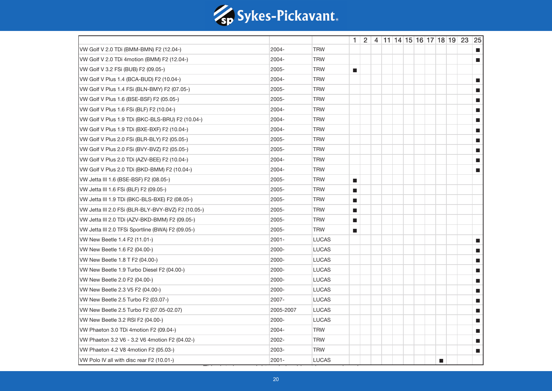

|                                                    |           |              |                             |  |  |  |   | $1 \mid 2 \mid 4 \mid 11 \mid 14 \mid 15 \mid 16 \mid 17 \mid 18 \mid 19 \mid 23 \mid 25$ |                             |
|----------------------------------------------------|-----------|--------------|-----------------------------|--|--|--|---|-------------------------------------------------------------------------------------------|-----------------------------|
| VW Golf V 2.0 TDi (BMM-BMN) F2 (12.04-)            | 2004-     | <b>TRW</b>   |                             |  |  |  |   |                                                                                           | $\blacksquare$              |
| VW Golf V 2.0 TDi 4motion (BMM) F2 (12.04-)        | 2004-     | <b>TRW</b>   |                             |  |  |  |   |                                                                                           | П                           |
| VW Golf V 3.2 FSi (BUB) F2 (09.05-)                | 2005-     | <b>TRW</b>   | $\mathcal{L}_{\mathcal{A}}$ |  |  |  |   |                                                                                           |                             |
| VW Golf V Plus 1.4 (BCA-BUD) F2 (10.04-)           | 2004-     | <b>TRW</b>   |                             |  |  |  |   |                                                                                           | $\blacksquare$              |
| VW Golf V Plus 1.4 FSi (BLN-BMY) F2 (07.05-)       | 2005-     | <b>TRW</b>   |                             |  |  |  |   |                                                                                           | П                           |
| VW Golf V Plus 1.6 (BSE-BSF) F2 (05.05-)           | 2005-     | <b>TRW</b>   |                             |  |  |  |   |                                                                                           | П                           |
| VW Golf V Plus 1.6 FSi (BLF) F2 (10.04-)           | 2004-     | <b>TRW</b>   |                             |  |  |  |   |                                                                                           | a.                          |
| VW Golf V Plus 1.9 TDi (BKC-BLS-BRU) F2 (10.04-)   | 2004-     | <b>TRW</b>   |                             |  |  |  |   |                                                                                           | П                           |
| VW Golf V Plus 1.9 TDi (BXE-BXF) F2 (10.04-)       | 2004-     | <b>TRW</b>   |                             |  |  |  |   |                                                                                           | П                           |
| VW Golf V Plus 2.0 FSi (BLR-BLY) F2 (05.05-)       | 2005-     | <b>TRW</b>   |                             |  |  |  |   |                                                                                           | П                           |
| VW Golf V Plus 2.0 FSi (BVY-BVZ) F2 (05.05-)       | 2005-     | <b>TRW</b>   |                             |  |  |  |   |                                                                                           | П                           |
| VW Golf V Plus 2.0 TDi (AZV-BEE) F2 (10.04-)       | 2004-     | <b>TRW</b>   |                             |  |  |  |   |                                                                                           | П                           |
| VW Golf V Plus 2.0 TDi (BKD-BMM) F2 (10.04-)       | 2004-     | <b>TRW</b>   |                             |  |  |  |   |                                                                                           | П                           |
| VW Jetta III 1.6 (BSE-BSF) F2 (08.05-)             | 2005-     | <b>TRW</b>   | $\blacksquare$              |  |  |  |   |                                                                                           |                             |
| VW Jetta III 1.6 FSi (BLF) F2 (09.05-)             | 2005-     | <b>TRW</b>   | $\blacksquare$              |  |  |  |   |                                                                                           |                             |
| VW Jetta III 1.9 TDi (BKC-BLS-BXE) F2 (08.05-)     | 2005-     | <b>TRW</b>   | $\mathcal{L}_{\mathcal{A}}$ |  |  |  |   |                                                                                           |                             |
| VW Jetta III 2.0 FSi (BLR-BLY-BVY-BVZ) F2 (10.05-) | 2005-     | <b>TRW</b>   | $\blacksquare$              |  |  |  |   |                                                                                           |                             |
| VW Jetta III 2.0 TDi (AZV-BKD-BMM) F2 (09.05-)     | 2005-     | <b>TRW</b>   | $\mathcal{L}_{\mathcal{A}}$ |  |  |  |   |                                                                                           |                             |
| VW Jetta III 2.0 TFSi Sportline (BWA) F2 (09.05-)  | 2005-     | <b>TRW</b>   | $\mathcal{L}_{\mathcal{A}}$ |  |  |  |   |                                                                                           |                             |
| VW New Beetle 1.4 F2 (11.01-)                      | $2001 -$  | <b>LUCAS</b> |                             |  |  |  |   |                                                                                           | $\blacksquare$              |
| VW New Beetle 1.6 F2 (04.00-)                      | 2000-     | <b>LUCAS</b> |                             |  |  |  |   |                                                                                           | $\blacksquare$              |
| VW New Beetle 1.8 T F2 (04.00-)                    | 2000-     | <b>LUCAS</b> |                             |  |  |  |   |                                                                                           | П                           |
| VW New Beetle 1.9 Turbo Diesel F2 (04.00-)         | 2000-     | <b>LUCAS</b> |                             |  |  |  |   |                                                                                           | $\blacksquare$              |
| VW New Beetle 2.0 F2 (04.00-)                      | 2000-     | <b>LUCAS</b> |                             |  |  |  |   |                                                                                           | П                           |
| VW New Beetle 2.3 V5 F2 (04.00-)                   | 2000-     | <b>LUCAS</b> |                             |  |  |  |   |                                                                                           | П                           |
| VW New Beetle 2.5 Turbo F2 (03.07-)                | 2007-     | <b>LUCAS</b> |                             |  |  |  |   |                                                                                           | a.                          |
| VW New Beetle 2.5 Turbo F2 (07.05-02.07)           | 2005-2007 | <b>LUCAS</b> |                             |  |  |  |   |                                                                                           | П                           |
| VW New Beetle 3.2 RSI F2 (04.00-)                  | 2000-     | <b>LUCAS</b> |                             |  |  |  |   |                                                                                           | П                           |
| VW Phaeton 3.0 TDi 4motion F2 (09.04-)             | 2004-     | <b>TRW</b>   |                             |  |  |  |   |                                                                                           | $\mathcal{L}_{\mathcal{A}}$ |
| VW Phaeton 3.2 V6 - 3.2 V6 4motion F2 (04.02-)     | 2002-     | <b>TRW</b>   |                             |  |  |  |   |                                                                                           | П                           |
| VW Phaeton 4.2 V8 4motion F2 (05.03-)              | 2003-     | <b>TRW</b>   |                             |  |  |  |   |                                                                                           | П                           |
| VW Polo IV all with disc rear F2 (10.01-)          | $2001 -$  | <b>LUCAS</b> |                             |  |  |  | П |                                                                                           |                             |